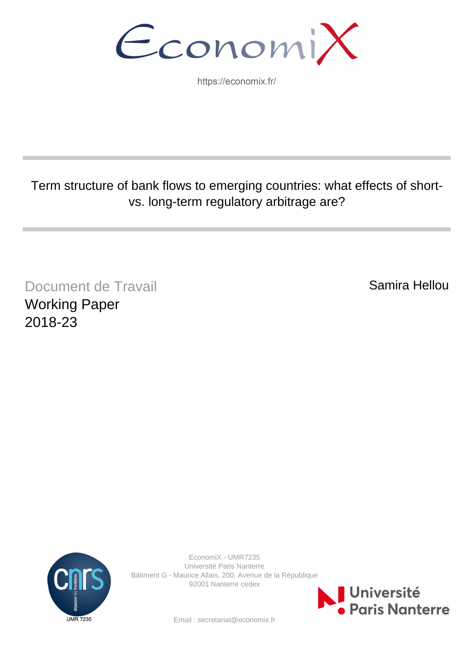EconomiX

https://economix.fr/

# Term structure of bank flows to emerging countries: what effects of shortvs. long-term regulatory arbitrage are?

Document de Travail Working Paper 2018-23

Samira Hellou



EconomiX - UMR7235 Université Paris Nanterre Bâtiment G - Maurice Allais, 200, Avenue de la République 92001 Nanterre cedex



Email : secretariat@economix.fr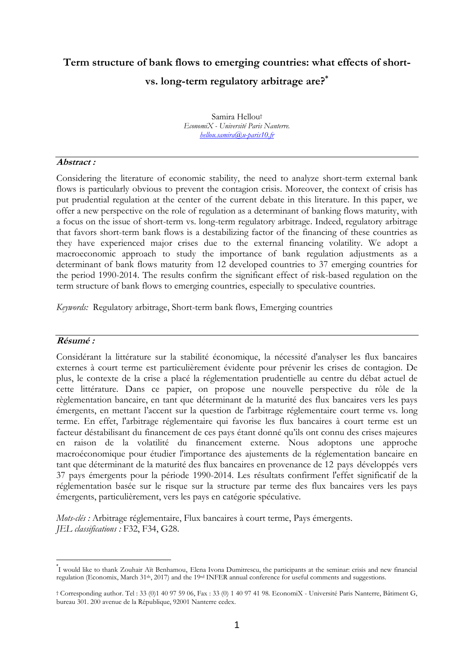# **Term structure of bank flows to emerging countries: what effects of shortvs. long-term regulatory arbitrage are?\***

Samira Hellou† *EconomiX - Université Paris Nanterre. hellou.samira@u-paris10.fr*

### **Abstract :**

Considering the literature of economic stability, the need to analyze short-term external bank flows is particularly obvious to prevent the contagion crisis. Moreover, the context of crisis has put prudential regulation at the center of the current debate in this literature. In this paper, we offer a new perspective on the role of regulation as a determinant of banking flows maturity, with a focus on the issue of short-term vs. long-term regulatory arbitrage. Indeed, regulatory arbitrage that favors short-term bank flows is a destabilizing factor of the financing of these countries as they have experienced major crises due to the external financing volatility. We adopt a macroeconomic approach to study the importance of bank regulation adjustments as a determinant of bank flows maturity from 12 developed countries to 37 emerging countries for the period 1990-2014. The results confirm the significant effect of risk-based regulation on the term structure of bank flows to emerging countries, especially to speculative countries.

*Keywords:* Regulatory arbitrage, Short-term bank flows, Emerging countries

### **Résumé :**

1

Considérant la littérature sur la stabilité économique, la nécessité d'analyser les flux bancaires externes à court terme est particulièrement évidente pour prévenir les crises de contagion. De plus, le contexte de la crise a placé la réglementation prudentielle au centre du débat actuel de cette littérature. Dans ce papier, on propose une nouvelle perspective du rôle de la règlementation bancaire, en tant que déterminant de la maturité des flux bancaires vers les pays émergents, en mettant l'accent sur la question de l'arbitrage réglementaire court terme vs. long terme. En effet, l'arbitrage réglementaire qui favorise les flux bancaires à court terme est un facteur déstabilisant du financement de ces pays étant donné qu'ils ont connu des crises majeures en raison de la volatilité du financement externe. Nous adoptons une approche macroéconomique pour étudier l'importance des ajustements de la réglementation bancaire en tant que déterminant de la maturité des flux bancaires en provenance de 12 pays développés vers 37 pays émergents pour la période 1990-2014. Les résultats confirment l'effet significatif de la réglementation basée sur le risque sur la structure par terme des flux bancaires vers les pays émergents, particulièrement, vers les pays en catégorie spéculative.

*Mots-clés :* Arbitrage réglementaire, Flux bancaires à court terme, Pays émergents. *JEL classifications :* F32, F34, G28.

<sup>\*</sup> I would like to thank Zouhair Aït Benhamou, Elena Ivona Dumitrescu, the participants at the seminar: crisis and new financial regulation (Economix, March 31th, 2017) and the 19rd INFER annual conference for useful comments and suggestions.

<sup>†</sup> Corresponding author. Tel : 33 (0)1 40 97 59 06, Fax : 33 (0) 1 40 97 41 98. EconomiX - Université Paris Nanterre, Bâtiment G, bureau 301. 200 avenue de la République, 92001 Nanterre cedex.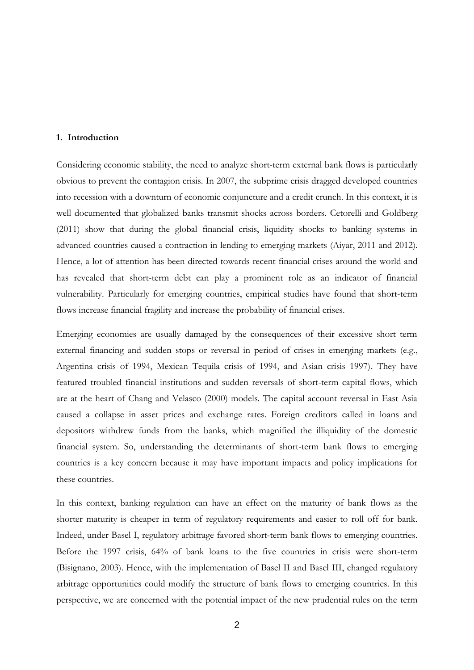#### **1. Introduction**

Considering economic stability, the need to analyze short-term external bank flows is particularly obvious to prevent the contagion crisis. In 2007, the subprime crisis dragged developed countries into recession with a downturn of economic conjuncture and a credit crunch. In this context, it is well documented that globalized banks transmit shocks across borders. Cetorelli and Goldberg (2011) show that during the global financial crisis, liquidity shocks to banking systems in advanced countries caused a contraction in lending to emerging markets (Aiyar, 2011 and 2012). Hence, a lot of attention has been directed towards recent financial crises around the world and has revealed that short-term debt can play a prominent role as an indicator of financial vulnerability. Particularly for emerging countries, empirical studies have found that short-term flows increase financial fragility and increase the probability of financial crises.

Emerging economies are usually damaged by the consequences of their excessive short term external financing and sudden stops or reversal in period of crises in emerging markets (e.g., Argentina crisis of 1994, Mexican Tequila crisis of 1994, and Asian crisis 1997). They have featured troubled financial institutions and sudden reversals of short-term capital flows, which are at the heart of Chang and Velasco (2000) models. The capital account reversal in East Asia caused a collapse in asset prices and exchange rates. Foreign creditors called in loans and depositors withdrew funds from the banks, which magnified the illiquidity of the domestic financial system. So, understanding the determinants of short-term bank flows to emerging countries is a key concern because it may have important impacts and policy implications for these countries.

In this context, banking regulation can have an effect on the maturity of bank flows as the shorter maturity is cheaper in term of regulatory requirements and easier to roll off for bank. Indeed, under Basel I, regulatory arbitrage favored short-term bank flows to emerging countries. Before the 1997 crisis, 64% of bank loans to the five countries in crisis were short-term (Bisignano, 2003). Hence, with the implementation of Basel II and Basel III, changed regulatory arbitrage opportunities could modify the structure of bank flows to emerging countries. In this perspective, we are concerned with the potential impact of the new prudential rules on the term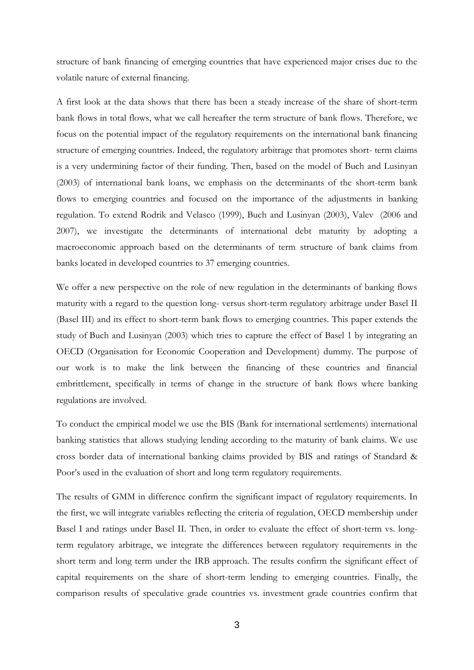structure of bank financing of emerging countries that have experienced major crises due to the volatile nature of external financing.

A first look at the data shows that there has been a steady increase of the share of short-term bank flows in total flows, what we call hereafter the term structure of bank flows. Therefore, we focus on the potential impact of the regulatory requirements on the international bank financing structure of emerging countries. Indeed, the regulatory arbitrage that promotes short- term claims is a very undermining factor of their funding. Then, based on the model of Buch and Lusinyan (2003) of international bank loans, we emphasis on the determinants of the short-term bank flows to emerging countries and focused on the importance of the adjustments in banking regulation. To extend Rodrik and Velasco (1999), Buch and Lusinyan (2003), Valev (2006 and 2007), we investigate the determinants of international debt maturity by adopting a macroeconomic approach based on the determinants of term structure of bank claims from banks located in developed countries to 37 emerging countries.

We offer a new perspective on the role of new regulation in the determinants of banking flows maturity with a regard to the question long- versus short-term regulatory arbitrage under Basel II (Basel III) and its effect to short-term bank flows to emerging countries. This paper extends the study of Buch and Lusinyan (2003) which tries to capture the effect of Basel 1 by integrating an OECD (Organisation for Economic Cooperation and Development) dummy. The purpose of our work is to make the link between the financing of these countries and financial embrittlement, specifically in terms of change in the structure of bank flows where banking regulations are involved.

To conduct the empirical model we use the BIS (Bank for international settlements) international banking statistics that allows studying lending according to the maturity of bank claims. We use cross border data of international banking claims provided by BIS and ratings of Standard & Poor's used in the evaluation of short and long term regulatory requirements.

The results of GMM in difference confirm the significant impact of regulatory requirements. In the first, we will integrate variables reflecting the criteria of regulation, OECD membership under Basel I and ratings under Basel II. Then, in order to evaluate the effect of short-term vs. longterm regulatory arbitrage, we integrate the differences between regulatory requirements in the short term and long term under the IRB approach. The results confirm the significant effect of capital requirements on the share of short-term lending to emerging countries. Finally, the comparison results of speculative grade countries vs. investment grade countries confirm that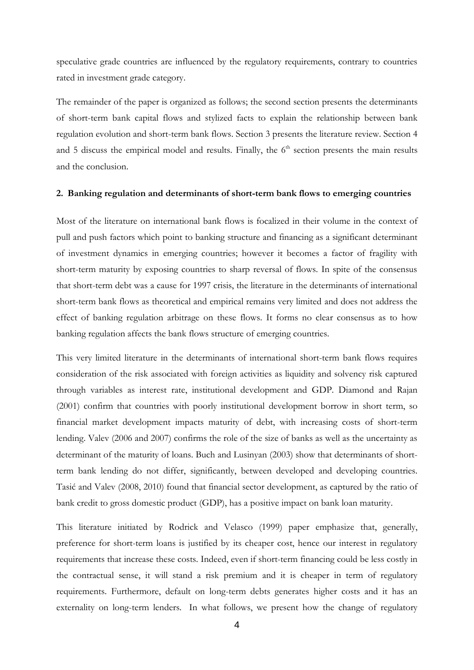speculative grade countries are influenced by the regulatory requirements, contrary to countries rated in investment grade category.

The remainder of the paper is organized as follows; the second section presents the determinants of short-term bank capital flows and stylized facts to explain the relationship between bank regulation evolution and short-term bank flows. Section 3 presents the literature review. Section 4 and  $5$  discuss the empirical model and results. Finally, the  $6<sup>th</sup>$  section presents the main results and the conclusion.

#### **2. Banking regulation and determinants of short-term bank flows to emerging countries**

Most of the literature on international bank flows is focalized in their volume in the context of pull and push factors which point to banking structure and financing as a significant determinant of investment dynamics in emerging countries; however it becomes a factor of fragility with short-term maturity by exposing countries to sharp reversal of flows. In spite of the consensus that short-term debt was a cause for 1997 crisis, the literature in the determinants of international short-term bank flows as theoretical and empirical remains very limited and does not address the effect of banking regulation arbitrage on these flows. It forms no clear consensus as to how banking regulation affects the bank flows structure of emerging countries.

This very limited literature in the determinants of international short-term bank flows requires consideration of the risk associated with foreign activities as liquidity and solvency risk captured through variables as interest rate, institutional development and GDP. Diamond and Rajan (2001) confirm that countries with poorly institutional development borrow in short term, so financial market development impacts maturity of debt, with increasing costs of short-term lending. Valev (2006 and 2007) confirms the role of the size of banks as well as the uncertainty as determinant of the maturity of loans. Buch and Lusinyan (2003) show that determinants of shortterm bank lending do not differ, significantly, between developed and developing countries. Tasić and Valev (2008, 2010) found that financial sector development, as captured by the ratio of bank credit to gross domestic product (GDP), has a positive impact on bank loan maturity.

This literature initiated by Rodrick and Velasco (1999) paper emphasize that, generally, preference for short-term loans is justified by its cheaper cost, hence our interest in regulatory requirements that increase these costs. Indeed, even if short-term financing could be less costly in the contractual sense, it will stand a risk premium and it is cheaper in term of regulatory requirements. Furthermore, default on long-term debts generates higher costs and it has an externality on long-term lenders. In what follows, we present how the change of regulatory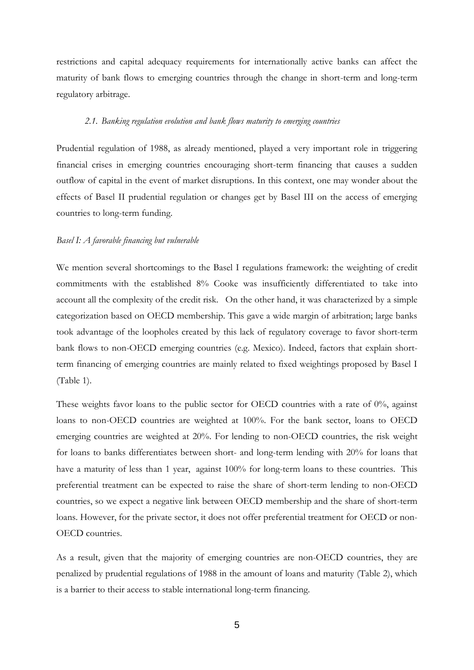restrictions and capital adequacy requirements for internationally active banks can affect the maturity of bank flows to emerging countries through the change in short-term and long-term regulatory arbitrage.

#### *2.1. Banking regulation evolution and bank flows maturity to emerging countries*

Prudential regulation of 1988, as already mentioned, played a very important role in triggering financial crises in emerging countries encouraging short-term financing that causes a sudden outflow of capital in the event of market disruptions. In this context, one may wonder about the effects of Basel II prudential regulation or changes get by Basel III on the access of emerging countries to long-term funding.

#### *Basel I: A favorable financing but vulnerable*

We mention several shortcomings to the Basel I regulations framework: the weighting of credit commitments with the established 8% Cooke was insufficiently differentiated to take into account all the complexity of the credit risk. On the other hand, it was characterized by a simple categorization based on OECD membership. This gave a wide margin of arbitration; large banks took advantage of the loopholes created by this lack of regulatory coverage to favor short-term bank flows to non-OECD emerging countries (e.g. Mexico). Indeed, factors that explain shortterm financing of emerging countries are mainly related to fixed weightings proposed by Basel I (Table 1).

These weights favor loans to the public sector for OECD countries with a rate of 0%, against loans to non-OECD countries are weighted at 100%. For the bank sector, loans to OECD emerging countries are weighted at 20%. For lending to non-OECD countries, the risk weight for loans to banks differentiates between short- and long-term lending with 20% for loans that have a maturity of less than 1 year, against 100% for long-term loans to these countries. This preferential treatment can be expected to raise the share of short-term lending to non-OECD countries, so we expect a negative link between OECD membership and the share of short-term loans. However, for the private sector, it does not offer preferential treatment for OECD or non-OECD countries.

As a result, given that the majority of emerging countries are non-OECD countries, they are penalized by prudential regulations of 1988 in the amount of loans and maturity (Table 2), which is a barrier to their access to stable international long-term financing.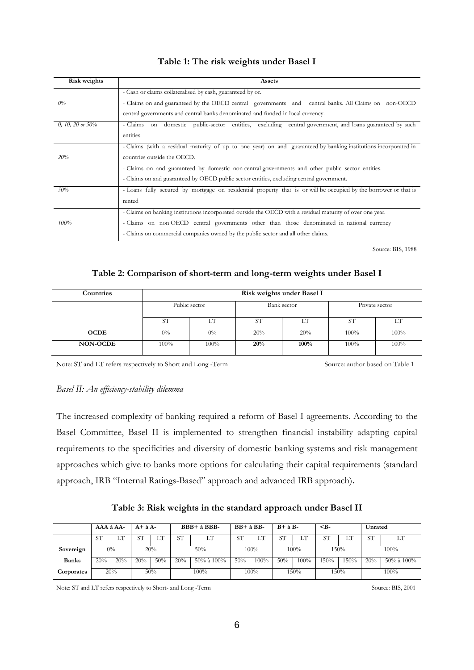## **Table 1: The risk weights under Basel I**

| <b>Risk weights</b> | Assets                                                                                                           |  |  |  |  |  |  |  |  |
|---------------------|------------------------------------------------------------------------------------------------------------------|--|--|--|--|--|--|--|--|
|                     | - Cash or claims collateralised by cash, guaranteed by or.                                                       |  |  |  |  |  |  |  |  |
| 0%                  | - Claims on and guaranteed by the OECD central governments and central banks. All Claims on non-OECD             |  |  |  |  |  |  |  |  |
|                     | central governments and central banks denominated and funded in local currency.                                  |  |  |  |  |  |  |  |  |
| 0, 10, 20 or $50\%$ | - Claims on domestic public-sector entities, excluding central government, and loans guaranteed by such          |  |  |  |  |  |  |  |  |
|                     | entities.                                                                                                        |  |  |  |  |  |  |  |  |
|                     | - Claims (with a residual maturity of up to one year) on and guaranteed by banking institutions incorporated in  |  |  |  |  |  |  |  |  |
| 20%                 | countries outside the OECD.                                                                                      |  |  |  |  |  |  |  |  |
|                     | - Claims on and guaranteed by domestic non central governments and other public sector entities.                 |  |  |  |  |  |  |  |  |
|                     | - Claims on and guaranteed by OECD public sector entities, excluding central government.                         |  |  |  |  |  |  |  |  |
| 50%                 | - Loans fully secured by mortgage on residential property that is or will be occupied by the borrower or that is |  |  |  |  |  |  |  |  |
|                     | rented                                                                                                           |  |  |  |  |  |  |  |  |
|                     | - Claims on banking institutions incorporated outside the OECD with a residual maturity of over one year.        |  |  |  |  |  |  |  |  |
| 100%                | - Claims on non OECD central governments other than those denominated in national currency                       |  |  |  |  |  |  |  |  |
|                     | - Claims on commercial companies owned by the public sector and all other claims.                                |  |  |  |  |  |  |  |  |

Source: BIS, 1988

## **Table 2: Comparison of short-term and long-term weights under Basel I**

| Countries       | Risk weights under Basel I |       |           |             |                |      |  |  |  |  |
|-----------------|----------------------------|-------|-----------|-------------|----------------|------|--|--|--|--|
|                 | Public sector              |       |           | Bank sector | Private sector |      |  |  |  |  |
|                 | <b>ST</b>                  | LT    | <b>ST</b> | LT          | S <sub>1</sub> | LT   |  |  |  |  |
| <b>OCDE</b>     | $0\%$                      | $0\%$ | 20%       | 20%         | 100%           | 100% |  |  |  |  |
| <b>NON-OCDE</b> | 100%                       | 100%  | 20%       | 100%        | 100%           | 100% |  |  |  |  |

Note: ST and LT refers respectively to Short and Long -Term Source: author based on Table 1

#### *Basel II: An efficiency-stability dilemma*

The increased complexity of banking required a reform of Basel I agreements. According to the Basel Committee, Basel II is implemented to strengthen financial instability adapting capital requirements to the specificities and diversity of domestic banking systems and risk management approaches which give to banks more options for calculating their capital requirements (standard approach, IRB "Internal Ratings-Based" approach and advanced IRB approach)**.**

|  |  | Table 3: Risk weights in the standard approach under Basel II |  |
|--|--|---------------------------------------------------------------|--|
|  |  |                                                               |  |

|              | AAA à AA- |            | $A + \lambda A$ |         | BBB+ à BBB- |                  | $BB+$ à $BB-$ |         | $B + \lambda B -$ |         | $< B-$          |         | Unrated   |                  |  |
|--------------|-----------|------------|-----------------|---------|-------------|------------------|---------------|---------|-------------------|---------|-----------------|---------|-----------|------------------|--|
|              | <b>ST</b> | r am<br>LТ |                 | .<br>⊥⊥ | <b>ST</b>   | LТ               | <b>ST</b>     | LТ      | <b>ST</b>         | LТ      | ST <sub>1</sub> | LТ      | <b>ST</b> | LТ               |  |
| Sovereign    |           | $0\%$      |                 | 20%     |             | 50%              | 100%<br>100%  |         |                   | 150%    |                 | $100\%$ |           |                  |  |
| <b>Banks</b> | 20%       | 20%        | 20%             | 50%     | 20%         | $50\%$ à $100\%$ | 50%           | 100%    | 50%               | $100\%$ | 150%            | 150%    | 20%       | $50\%$ à $100\%$ |  |
| Corporates   |           | 20%        |                 | 50%     |             | 100%             |               | $100\%$ |                   | 150%    |                 | 150%    |           | $100\%$          |  |

Note: ST and LT refers respectively to Short- and Long -Term Source: BIS, 2001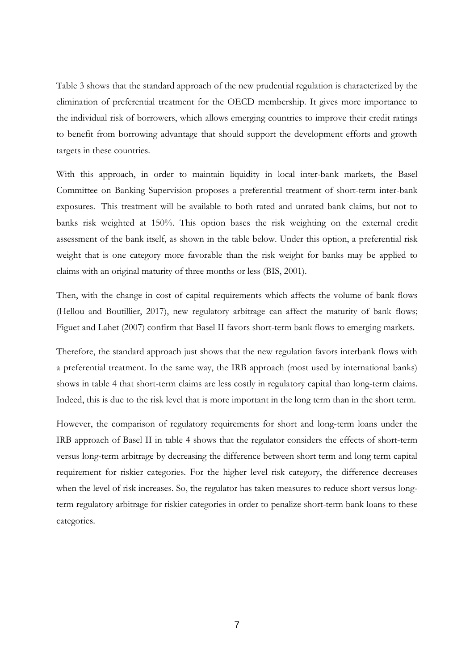Table 3 shows that the standard approach of the new prudential regulation is characterized by the elimination of preferential treatment for the OECD membership. It gives more importance to the individual risk of borrowers, which allows emerging countries to improve their credit ratings to benefit from borrowing advantage that should support the development efforts and growth targets in these countries.

With this approach, in order to maintain liquidity in local inter-bank markets, the Basel Committee on Banking Supervision proposes a preferential treatment of short-term inter-bank exposures. This treatment will be available to both rated and unrated bank claims, but not to banks risk weighted at 150%. This option bases the risk weighting on the external credit assessment of the bank itself, as shown in the table below. Under this option, a preferential risk weight that is one category more favorable than the risk weight for banks may be applied to claims with an original maturity of three months or less (BIS, 2001).

Then, with the change in cost of capital requirements which affects the volume of bank flows (Hellou and Boutillier, 2017), new regulatory arbitrage can affect the maturity of bank flows; Figuet and Lahet (2007) confirm that Basel II favors short-term bank flows to emerging markets.

Therefore, the standard approach just shows that the new regulation favors interbank flows with a preferential treatment. In the same way, the IRB approach (most used by international banks) shows in table 4 that short-term claims are less costly in regulatory capital than long-term claims. Indeed, this is due to the risk level that is more important in the long term than in the short term.

However, the comparison of regulatory requirements for short and long-term loans under the IRB approach of Basel II in table 4 shows that the regulator considers the effects of short-term versus long-term arbitrage by decreasing the difference between short term and long term capital requirement for riskier categories. For the higher level risk category, the difference decreases when the level of risk increases. So, the regulator has taken measures to reduce short versus longterm regulatory arbitrage for riskier categories in order to penalize short-term bank loans to these categories.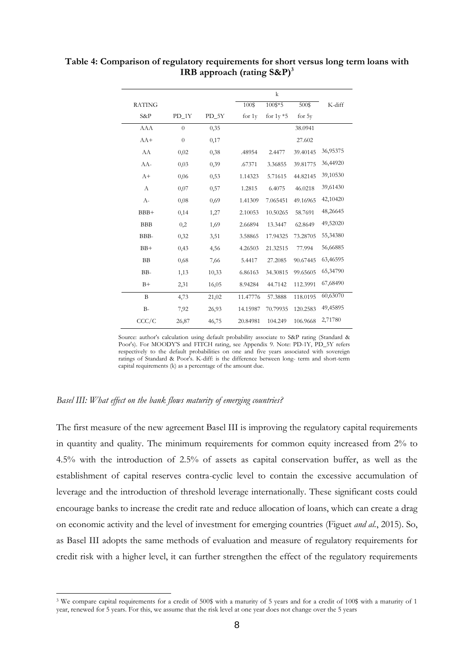| <b>RATING</b> |          |         | 100\$    | 100\$*5      | 500\$    | K-diff   |
|---------------|----------|---------|----------|--------------|----------|----------|
| S&P           | $PD_1Y$  | $PD_5Y$ | for 1y   | for $1y * 5$ | for 5y   |          |
| <b>AAA</b>    | $\Omega$ | 0,35    |          |              | 38.0941  |          |
| $AA+$         | $\theta$ | 0,17    |          |              | 27.602   |          |
| AA            | 0,02     | 0,38    | .48954   | 2.4477       | 39.40145 | 36,95375 |
| AA-           | 0,03     | 0,39    | .67371   | 3.36855      | 39.81775 | 36,44920 |
| $A+$          | 0,06     | 0,53    | 1.14323  | 5.71615      | 44.82145 | 39,10530 |
| $\mathbf{A}$  | 0,07     | 0,57    | 1.2815   | 6.4075       | 46.0218  | 39,61430 |
| $A-$          | 0,08     | 0,69    | 1.41309  | 7.065451     | 49.16965 | 42,10420 |
| $BBB+$        | 0,14     | 1,27    | 2.10053  | 10.50265     | 58.7691  | 48,26645 |
| <b>BBB</b>    | 0,2      | 1,69    | 2.66894  | 13.3447      | 62.8649  | 49,52020 |
| BBB-          | 0,32     | 3,51    | 3.58865  | 17.94325     | 73.28705 | 55,34380 |
| $BB+$         | 0,43     | 4,56    | 4.26503  | 21.32515     | 77.994   | 56,66885 |
| <b>BB</b>     | 0,68     | 7,66    | 5.4417   | 27.2085      | 90.67445 | 63,46595 |
| BB-           | 1,13     | 10,33   | 6.86163  | 34.30815     | 99.65605 | 65,34790 |
| $B+$          | 2,31     | 16,05   | 8.94284  | 44.7142      | 112.3991 | 67,68490 |
| B             | 4,73     | 21,02   | 11.47776 | 57.3888      | 118.0195 | 60,63070 |
| $B-$          | 7,92     | 26,93   | 14.15987 | 70.79935     | 120.2583 | 49,45895 |
| CCC/C         | 26,87    | 46,75   | 20.84981 | 104.249      | 106.9668 | 2,71780  |

**Table 4: Comparison of regulatory requirements for short versus long term loans with IRB approach (rating S&P)<sup>3</sup>**

Source: author's calculation using default probability associate to S&P rating (Standard & Poor's). For MOODY'S and FITCH rating, see Appendix 9. Note: PD-1Y, PD\_5Y refers respectively to the default probabilities on one and five years associated with sovereign ratings of Standard & Poor's. K-diff: is the difference between long- term and short-term capital requirements (k) as a percentage of the amount due.

#### *Basel III: What effect on the bank flows maturity of emerging countries?*

1

The first measure of the new agreement Basel III is improving the regulatory capital requirements in quantity and quality. The minimum requirements for common equity increased from 2% to 4.5% with the introduction of 2.5% of assets as capital conservation buffer, as well as the establishment of capital reserves contra-cyclic level to contain the excessive accumulation of leverage and the introduction of threshold leverage internationally. These significant costs could encourage banks to increase the credit rate and reduce allocation of loans, which can create a drag on economic activity and the level of investment for emerging countries (Figuet *and al.*, 2015). So, as Basel III adopts the same methods of evaluation and measure of regulatory requirements for credit risk with a higher level, it can further strengthen the effect of the regulatory requirements

<sup>3</sup> We compare capital requirements for a credit of 500\$ with a maturity of 5 years and for a credit of 100\$ with a maturity of 1 year, renewed for 5 years. For this, we assume that the risk level at one year does not change over the 5 years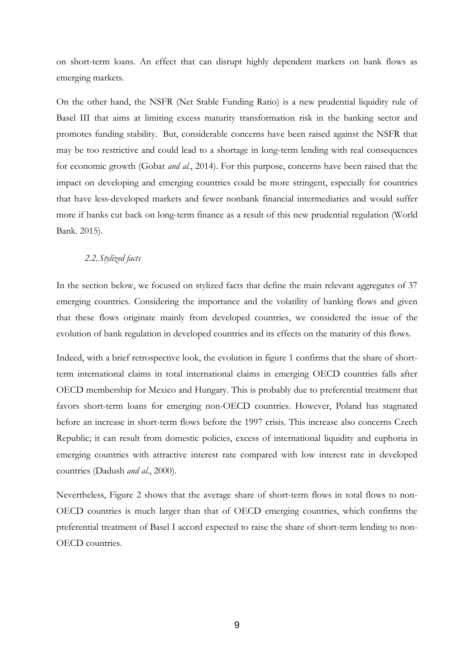on short-term loans. An effect that can disrupt highly dependent markets on bank flows as emerging markets.

On the other hand, the NSFR (Net Stable Funding Ratio) is a new prudential liquidity rule of Basel III that aims at limiting excess maturity transformation risk in the banking sector and promotes funding stability. But, considerable concerns have been raised against the NSFR that may be too restrictive and could lead to a shortage in long-term lending with real consequences for economic growth (Gobat *and al.*, 2014). For this purpose, concerns have been raised that the impact on developing and emerging countries could be more stringent, especially for countries that have less-developed markets and fewer nonbank financial intermediaries and would suffer more if banks cut back on long-term finance as a result of this new prudential regulation (World Bank. 2015).

### *2.2.Stylized facts*

In the section below, we focused on stylized facts that define the main relevant aggregates of 37 emerging countries. Considering the importance and the volatility of banking flows and given that these flows originate mainly from developed countries, we considered the issue of the evolution of bank regulation in developed countries and its effects on the maturity of this flows.

Indeed, with a brief retrospective look, the evolution in figure 1 confirms that the share of shortterm international claims in total international claims in emerging OECD countries falls after OECD membership for Mexico and Hungary. This is probably due to preferential treatment that favors short-term loans for emerging non-OECD countries. However, Poland has stagnated before an increase in short-term flows before the 1997 crisis. This increase also concerns Czech Republic; it can result from domestic policies, excess of international liquidity and euphoria in emerging countries with attractive interest rate compared with low interest rate in developed countries (Dadush *and al.*, 2000).

Nevertheless, Figure 2 shows that the average share of short-term flows in total flows to non-OECD countries is much larger than that of OECD emerging countries, which confirms the preferential treatment of Basel I accord expected to raise the share of short-term lending to non-OECD countries.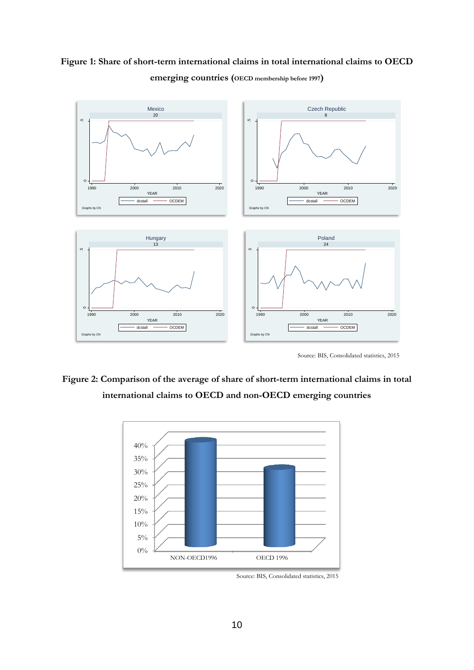## **Figure 1: Share of short-term international claims in total international claims to OECD emerging countries (OECD membership before 1997)**



Source: BIS, Consolidated statistics, <sup>2015</sup>

## **Figure 2: Comparison of the average of share of short-term international claims in total international claims to OECD and non-OECD emerging countries**



Source: BIS, Consolidated statistics, 2015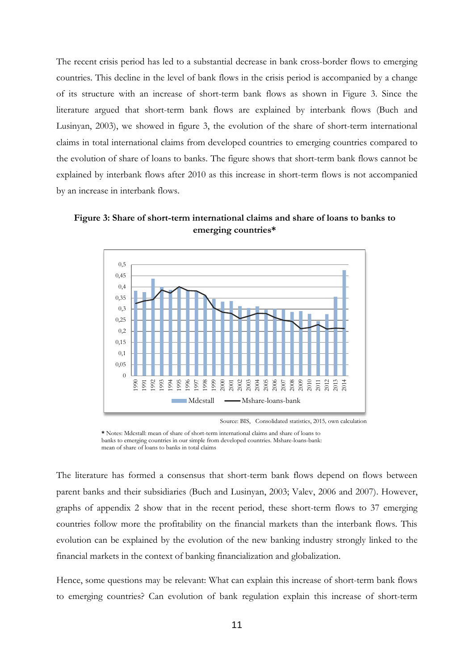The recent crisis period has led to a substantial decrease in bank cross-border flows to emerging countries. This decline in the level of bank flows in the crisis period is accompanied by a change of its structure with an increase of short-term bank flows as shown in Figure 3. Since the literature argued that short-term bank flows are explained by interbank flows (Buch and Lusinyan, 2003), we showed in figure 3, the evolution of the share of short-term international claims in total international claims from developed countries to emerging countries compared to the evolution of share of loans to banks. The figure shows that short-term bank flows cannot be explained by interbank flows after 2010 as this increase in short-term flows is not accompanied by an increase in interbank flows.





Source: BIS, Consolidated statistics, 2015*,* own calculation

**\*** Notes: Mdcstall: mean of share of short-term international claims and share of loans to banks to emerging countries in our simple from developed countries. Mshare-loans-bank: mean of share of loans to banks in total claims

The literature has formed a consensus that short-term bank flows depend on flows between parent banks and their subsidiaries (Buch and Lusinyan, 2003; Valev, 2006 and 2007). However, graphs of appendix 2 show that in the recent period, these short-term flows to 37 emerging countries follow more the profitability on the financial markets than the interbank flows. This evolution can be explained by the evolution of the new banking industry strongly linked to the financial markets in the context of banking financialization and globalization.

Hence, some questions may be relevant: What can explain this increase of short-term bank flows to emerging countries? Can evolution of bank regulation explain this increase of short-term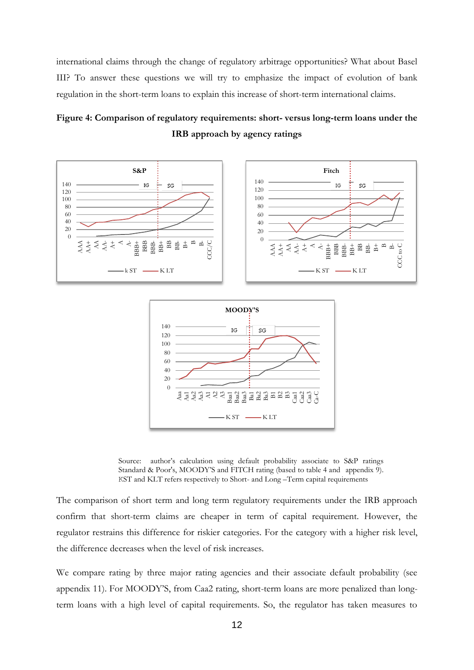international claims through the change of regulatory arbitrage opportunities? What about Basel III? To answer these questions we will try to emphasize the impact of evolution of bank regulation in the short-term loans to explain this increase of short-term international claims.

## **Figure 4: Comparison of regulatory requirements: short- versus long-term loans under the IRB approach by agency ratings**



Source: author's calculation using default probability associate to S&P ratings Standard & Poor's, MOODY'S and FITCH rating (based to table 4 and appendix 9). KST and KLT refers respectively to Short- and Long –Term capital requirements

 $-K ST \longrightarrow K LT$ 

The comparison of short term and long term regulatory requirements under the IRB approach confirm that short-term claims are cheaper in term of capital requirement. However, the regulator restrains this difference for riskier categories. For the category with a higher risk level, the difference decreases when the level of risk increases.

We compare rating by three major rating agencies and their associate default probability (see appendix 11). For MOODY'S, from Caa2 rating, short-term loans are more penalized than longterm loans with a high level of capital requirements. So, the regulator has taken measures to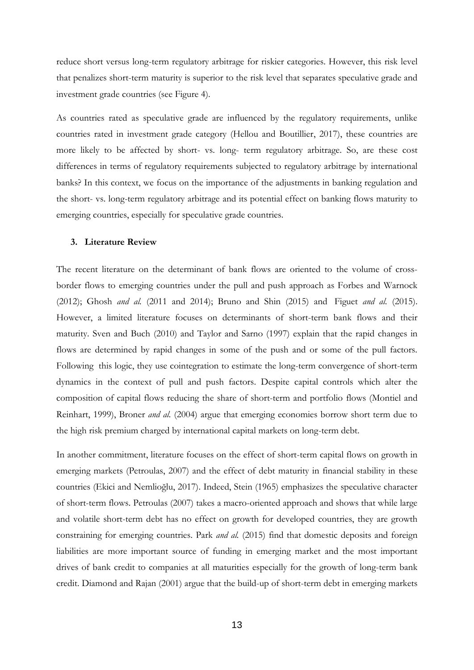reduce short versus long-term regulatory arbitrage for riskier categories. However, this risk level that penalizes short-term maturity is superior to the risk level that separates speculative grade and investment grade countries (see Figure 4).

As countries rated as speculative grade are influenced by the regulatory requirements, unlike countries rated in investment grade category (Hellou and Boutillier, 2017), these countries are more likely to be affected by short- vs. long- term regulatory arbitrage. So, are these cost differences in terms of regulatory requirements subjected to regulatory arbitrage by international banks? In this context, we focus on the importance of the adjustments in banking regulation and the short- vs. long-term regulatory arbitrage and its potential effect on banking flows maturity to emerging countries, especially for speculative grade countries.

#### **3. Literature Review**

The recent literature on the determinant of bank flows are oriented to the volume of crossborder flows to emerging countries under the pull and push approach as Forbes and Warnock (2012); Ghosh *and al.* (2011 and 2014); Bruno and Shin (2015) and Figuet *and al.* (2015). However, a limited literature focuses on determinants of short-term bank flows and their maturity. Sven and Buch (2010) and Taylor and Sarno (1997) explain that the rapid changes in flows are determined by rapid changes in some of the push and or some of the pull factors. Following this logic, they use cointegration to estimate the long-term convergence of short-term dynamics in the context of pull and push factors. Despite capital controls which alter the composition of capital flows reducing the share of short-term and portfolio flows (Montiel and Reinhart, 1999), Broner *and al.* (2004) argue that emerging economies borrow short term due to the high risk premium charged by international capital markets on long-term debt.

In another commitment, literature focuses on the effect of short-term capital flows on growth in emerging markets (Petroulas, 2007) and the effect of debt maturity in financial stability in these countries (Ekici and Nemlioğlu, 2017). Indeed, Stein (1965) emphasizes the speculative character of short-term flows. Petroulas (2007) takes a macro-oriented approach and shows that while large and volatile short-term debt has no effect on growth for developed countries, they are growth constraining for emerging countries. Park *and al.* (2015) find that domestic deposits and foreign liabilities are more important source of funding in emerging market and the most important drives of bank credit to companies at all maturities especially for the growth of long-term bank credit. Diamond and Rajan (2001) argue that the build-up of short-term debt in emerging markets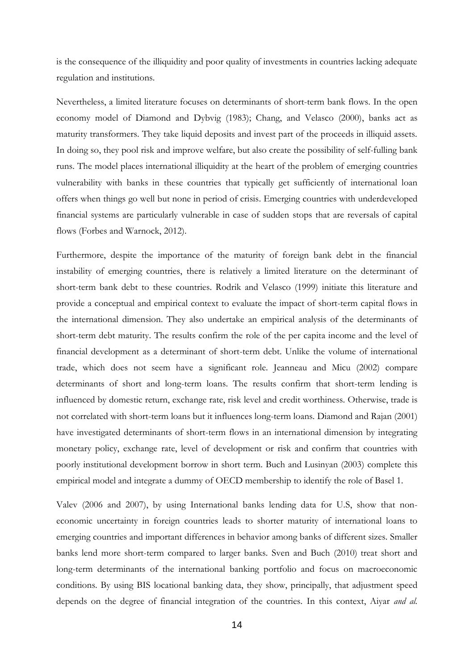is the consequence of the illiquidity and poor quality of investments in countries lacking adequate regulation and institutions.

Nevertheless, a limited literature focuses on determinants of short-term bank flows. In the open economy model of Diamond and Dybvig (1983); Chang, and Velasco (2000), banks act as maturity transformers. They take liquid deposits and invest part of the proceeds in illiquid assets. In doing so, they pool risk and improve welfare, but also create the possibility of self-fulling bank runs. The model places international illiquidity at the heart of the problem of emerging countries vulnerability with banks in these countries that typically get sufficiently of international loan offers when things go well but none in period of crisis. Emerging countries with underdeveloped financial systems are particularly vulnerable in case of sudden stops that are reversals of capital flows (Forbes and Warnock, 2012).

Furthermore, despite the importance of the maturity of foreign bank debt in the financial instability of emerging countries, there is relatively a limited literature on the determinant of short-term bank debt to these countries. Rodrik and Velasco (1999) initiate this literature and provide a conceptual and empirical context to evaluate the impact of short-term capital flows in the international dimension. They also undertake an empirical analysis of the determinants of short-term debt maturity. The results confirm the role of the per capita income and the level of financial development as a determinant of short-term debt. Unlike the volume of international trade, which does not seem have a significant role. Jeanneau and Micu (2002) compare determinants of short and long-term loans. The results confirm that short-term lending is influenced by domestic return, exchange rate, risk level and credit worthiness. Otherwise, trade is not correlated with short-term loans but it influences long-term loans. Diamond and Rajan (2001) have investigated determinants of short-term flows in an international dimension by integrating monetary policy, exchange rate, level of development or risk and confirm that countries with poorly institutional development borrow in short term. Buch and Lusinyan (2003) complete this empirical model and integrate a dummy of OECD membership to identify the role of Basel 1.

Valev (2006 and 2007), by using International banks lending data for U.S, show that noneconomic uncertainty in foreign countries leads to shorter maturity of international loans to emerging countries and important differences in behavior among banks of different sizes. Smaller banks lend more short-term compared to larger banks. Sven and Buch (2010) treat short and long-term determinants of the international banking portfolio and focus on macroeconomic conditions. By using BIS locational banking data, they show, principally, that adjustment speed depends on the degree of financial integration of the countries. In this context, Aiyar *and al.*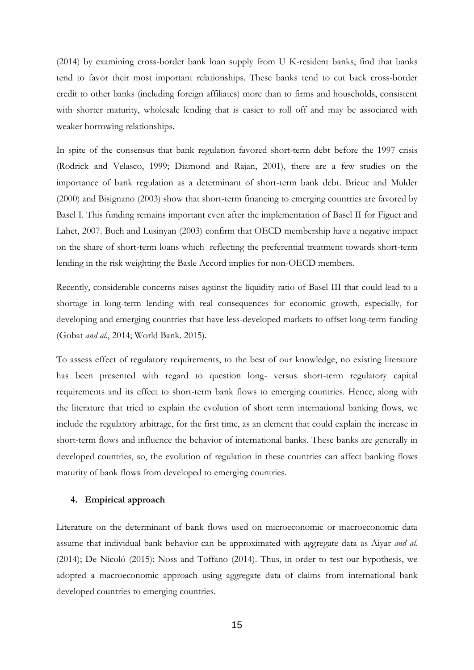(2014) by examining cross-border bank loan supply from U K-resident banks, find that banks tend to favor their most important relationships. These banks tend to cut back cross-border credit to other banks (including foreign affiliates) more than to firms and households, consistent with shorter maturity, wholesale lending that is easier to roll off and may be associated with weaker borrowing relationships.

In spite of the consensus that bank regulation favored short-term debt before the 1997 crisis (Rodrick and Velasco, 1999; Diamond and Rajan, 2001), there are a few studies on the importance of bank regulation as a determinant of short-term bank debt. Brieuc and Mulder (2000) and Bisignano (2003) show that short-term financing to emerging countries are favored by Basel I. This funding remains important even after the implementation of Basel II for Figuet and Lahet, 2007. Buch and Lusinyan (2003) confirm that OECD membership have a negative impact on the share of short-term loans which reflecting the preferential treatment towards short-term lending in the risk weighting the Basle Accord implies for non-OECD members.

Recently, considerable concerns raises against the liquidity ratio of Basel III that could lead to a shortage in long-term lending with real consequences for economic growth, especially, for developing and emerging countries that have less-developed markets to offset long-term funding (Gobat *and al.*, 2014; World Bank. 2015).

To assess effect of regulatory requirements, to the best of our knowledge, no existing literature has been presented with regard to question long- versus short-term regulatory capital requirements and its effect to short-term bank flows to emerging countries. Hence, along with the literature that tried to explain the evolution of short term international banking flows, we include the regulatory arbitrage, for the first time, as an element that could explain the increase in short-term flows and influence the behavior of international banks. These banks are generally in developed countries, so, the evolution of regulation in these countries can affect banking flows maturity of bank flows from developed to emerging countries.

#### **4. Empirical approach**

Literature on the determinant of bank flows used on microeconomic or macroeconomic data assume that individual bank behavior can be approximated with aggregate data as Aiyar *and al.* (2014); De Nicoló (2015); Noss and Toffano (2014). Thus, in order to test our hypothesis, we adopted a macroeconomic approach using aggregate data of claims from international bank developed countries to emerging countries.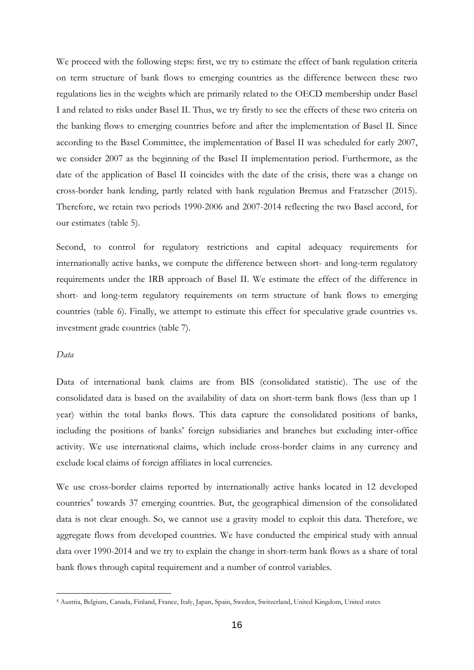We proceed with the following steps: first, we try to estimate the effect of bank regulation criteria on term structure of bank flows to emerging countries as the difference between these two regulations lies in the weights which are primarily related to the OECD membership under Basel I and related to risks under Basel II. Thus, we try firstly to see the effects of these two criteria on the banking flows to emerging countries before and after the implementation of Basel II. Since according to the Basel Committee, the implementation of Basel II was scheduled for early 2007, we consider 2007 as the beginning of the Basel II implementation period. Furthermore, as the date of the application of Basel II coincides with the date of the crisis, there was a change on cross-border bank lending, partly related with bank regulation Bremus and Fratzscher (2015). Therefore, we retain two periods 1990-2006 and 2007-2014 reflecting the two Basel accord, for our estimates (table 5).

Second, to control for regulatory restrictions and capital adequacy requirements for internationally active banks, we compute the difference between short- and long-term regulatory requirements under the IRB approach of Basel II. We estimate the effect of the difference in short- and long-term regulatory requirements on term structure of bank flows to emerging countries (table 6). Finally, we attempt to estimate this effect for speculative grade countries vs. investment grade countries (table 7).

#### *Data*

1

Data of international bank claims are from BIS (consolidated statistic). The use of the consolidated data is based on the availability of data on short-term bank flows (less than up 1 year) within the total banks flows. This data capture the consolidated positions of banks, including the positions of banks' foreign subsidiaries and branches but excluding inter-office activity. We use international claims, which include cross-border claims in any currency and exclude local claims of foreign affiliates in local currencies.

We use cross-border claims reported by internationally active banks located in 12 developed countries<sup>4</sup> towards 37 emerging countries. But, the geographical dimension of the consolidated data is not clear enough. So, we cannot use a gravity model to exploit this data. Therefore, we aggregate flows from developed countries. We have conducted the empirical study with annual data over 1990-2014 and we try to explain the change in short-term bank flows as a share of total bank flows through capital requirement and a number of control variables.

<sup>4</sup> Austria, Belgium, Canada, Finland, France, Italy, Japan, Spain, Sweden, Switzerland, United Kingdom, United states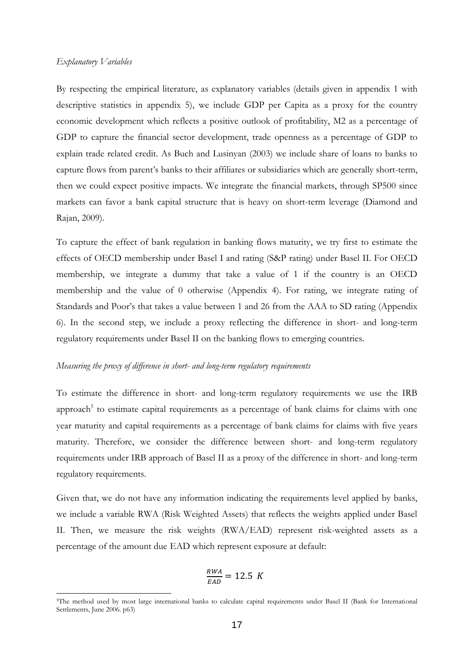#### *Explanatory Variables*

1

By respecting the empirical literature, as explanatory variables (details given in appendix 1 with descriptive statistics in appendix 5), we include GDP per Capita as a proxy for the country economic development which reflects a positive outlook of profitability, M2 as a percentage of GDP to capture the financial sector development, trade openness as a percentage of GDP to explain trade related credit. As Buch and Lusinyan (2003) we include share of loans to banks to capture flows from parent's banks to their affiliates or subsidiaries which are generally short-term, then we could expect positive impacts. We integrate the financial markets, through SP500 since markets can favor a bank capital structure that is heavy on short-term leverage (Diamond and Rajan, 2009).

To capture the effect of bank regulation in banking flows maturity, we try first to estimate the effects of OECD membership under Basel I and rating (S&P rating) under Basel II. For OECD membership, we integrate a dummy that take a value of 1 if the country is an OECD membership and the value of 0 otherwise (Appendix 4). For rating, we integrate rating of Standards and Poor's that takes a value between 1 and 26 from the AAA to SD rating (Appendix 6). In the second step, we include a proxy reflecting the difference in short- and long-term regulatory requirements under Basel II on the banking flows to emerging countries.

#### *Measuring the proxy of difference in short- and long-term regulatory requirements*

To estimate the difference in short- and long-term regulatory requirements we use the IRB approach<sup>5</sup> to estimate capital requirements as a percentage of bank claims for claims with one year maturity and capital requirements as a percentage of bank claims for claims with five years maturity. Therefore, we consider the difference between short- and long-term regulatory requirements under IRB approach of Basel II as a proxy of the difference in short- and long-term regulatory requirements.

Given that, we do not have any information indicating the requirements level applied by banks, we include a variable RWA (Risk Weighted Assets) that reflects the weights applied under Basel II. Then, we measure the risk weights (RWA/EAD) represent risk-weighted assets as a percentage of the amount due EAD which represent exposure at default:

$$
\frac{RWA}{EAD} = 12.5 K
$$

<sup>5</sup>The method used by most large international banks to calculate capital requirements under Basel II (Bank for International Settlements, June 2006. p63)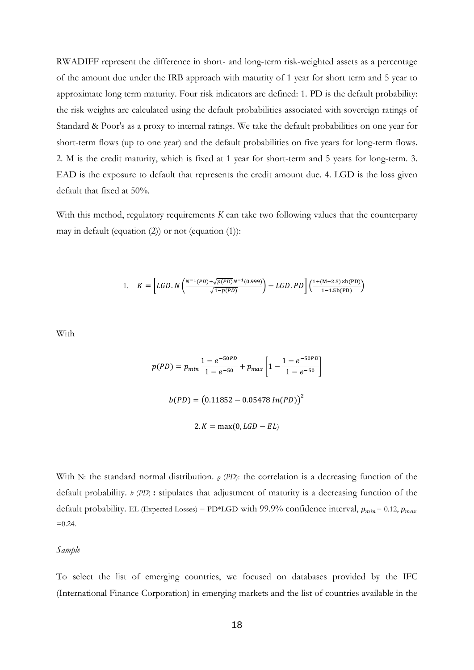RWADIFF represent the difference in short- and long-term risk-weighted assets as a percentage of the amount due under the IRB approach with maturity of 1 year for short term and 5 year to approximate long term maturity. Four risk indicators are defined: 1. PD is the default probability: the risk weights are calculated using the default probabilities associated with sovereign ratings of Standard & Poor's as a proxy to internal ratings. We take the default probabilities on one year for short-term flows (up to one year) and the default probabilities on five years for long-term flows. 2. M is the credit maturity, which is fixed at 1 year for short-term and 5 years for long-term. 3. EAD is the exposure to default that represents the credit amount due. 4. LGD is the loss given default that fixed at 50%.

With this method, regulatory requirements *K* can take two following values that the counterparty may in default (equation (2)) or not (equation (1)):

1. 
$$
K = \left[ LGD. N \left( \frac{N^{-1}(PD) + \sqrt{p(PD)}N^{-1}(0.999)}{\sqrt{1 - p(PD)}} \right) - LGD. PD \right] \left( \frac{1 + (M - 2.5) \times b(PD)}{1 - 1.5b(PD)} \right)
$$

With

$$
p(PD) = p_{min} \frac{1 - e^{-50PD}}{1 - e^{-50}} + p_{max} \left[ 1 - \frac{1 - e^{-50PD}}{1 - e^{-50}} \right]
$$

$$
b(PD) = (0.11852 - 0.05478 \ln(PD))^2
$$

$$
2. K = max(0, LGD - EL)
$$

With N: the standard normal distribution. *ρ* (*PD*): the correlation is a decreasing function of the default probability. *b* (*PD*) **:** stipulates that adjustment of maturity is a decreasing function of the default probability. EL (Expected Losses) = PD\*LGD with 99.9% confidence interval,  $p_{min} = 0.12$ ,  $p_{max}$  $=0.24$ .

*Sample* 

To select the list of emerging countries, we focused on databases provided by the IFC (International Finance Corporation) in emerging markets and the list of countries available in the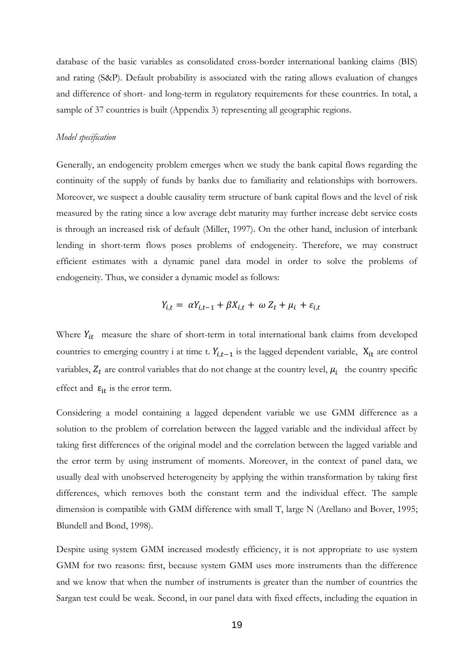database of the basic variables as consolidated cross-border international banking claims (BIS) and rating (S&P). Default probability is associated with the rating allows evaluation of changes and difference of short- and long-term in regulatory requirements for these countries. In total, a sample of 37 countries is built (Appendix 3) representing all geographic regions.

#### *Model specification*

Generally, an endogeneity problem emerges when we study the bank capital flows regarding the continuity of the supply of funds by banks due to familiarity and relationships with borrowers. Moreover, we suspect a double causality term structure of bank capital flows and the level of risk measured by the rating since a low average debt maturity may further increase debt service costs is through an increased risk of default (Miller, 1997). On the other hand, inclusion of interbank lending in short-term flows poses problems of endogeneity. Therefore, we may construct efficient estimates with a dynamic panel data model in order to solve the problems of endogeneity. Thus, we consider a dynamic model as follows:

$$
Y_{i,t} = \alpha Y_{i,t-1} + \beta X_{i,t} + \omega Z_t + \mu_i + \varepsilon_{i,t}
$$

Where  $Y_{it}$  measure the share of short-term in total international bank claims from developed countries to emerging country i at time t.  $Y_{i,t-1}$  is the lagged dependent variable,  $X_{it}$  are control variables,  $Z_t$  are control variables that do not change at the country level,  $\mu_i$  the country specific effect and  $\varepsilon_{it}$  is the error term.

Considering a model containing a lagged dependent variable we use GMM difference as a solution to the problem of correlation between the lagged variable and the individual affect by taking first differences of the original model and the correlation between the lagged variable and the error term by using instrument of moments. Moreover, in the context of panel data, we usually deal with unobserved heterogeneity by applying the within transformation by taking first differences, which removes both the constant term and the individual effect. The sample dimension is compatible with GMM difference with small T, large N (Arellano and Bover, 1995; Blundell and Bond, 1998).

Despite using system GMM increased modestly efficiency, it is not appropriate to use system GMM for two reasons: first, because system GMM uses more instruments than the difference and we know that when the number of instruments is greater than the number of countries the Sargan test could be weak. Second, in our panel data with fixed effects, including the equation in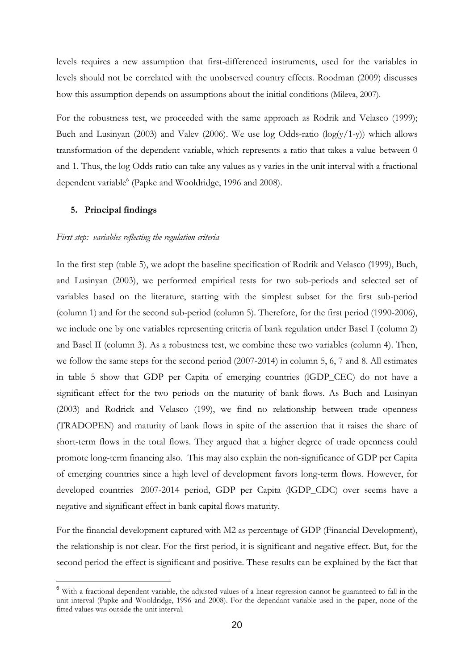levels requires a new assumption that first-differenced instruments, used for the variables in levels should not be correlated with the unobserved country effects. Roodman (2009) discusses how this assumption depends on assumptions about the initial conditions (Mileva, 2007).

For the robustness test, we proceeded with the same approach as Rodrik and Velasco (1999); Buch and Lusinyan (2003) and Valev (2006). We use  $log$  Odds-ratio  $(log(y/1-y))$  which allows transformation of the dependent variable, which represents a ratio that takes a value between 0 and 1. Thus, the log Odds ratio can take any values as y varies in the unit interval with a fractional dependent variable<sup>6</sup> (Papke and Wooldridge, 1996 and 2008).

#### **5. Principal findings**

1

#### *First step: variables reflecting the regulation criteria*

In the first step (table 5), we adopt the baseline specification of Rodrik and Velasco (1999), Buch, and Lusinyan (2003), we performed empirical tests for two sub-periods and selected set of variables based on the literature, starting with the simplest subset for the first sub-period (column 1) and for the second sub-period (column 5). Therefore, for the first period (1990-2006), we include one by one variables representing criteria of bank regulation under Basel I (column 2) and Basel II (column 3). As a robustness test, we combine these two variables (column 4). Then, we follow the same steps for the second period (2007-2014) in column 5, 6, 7 and 8. All estimates in table 5 show that GDP per Capita of emerging countries (lGDP\_CEC) do not have a significant effect for the two periods on the maturity of bank flows. As Buch and Lusinyan (2003) and Rodrick and Velasco (199), we find no relationship between trade openness (TRADOPEN) and maturity of bank flows in spite of the assertion that it raises the share of short-term flows in the total flows. They argued that a higher degree of trade openness could promote long-term financing also. This may also explain the non-significance of GDP per Capita of emerging countries since a high level of development favors long-term flows. However, for developed countries 2007-2014 period, GDP per Capita (lGDP\_CDC) over seems have a negative and significant effect in bank capital flows maturity.

For the financial development captured with M2 as percentage of GDP (Financial Development), the relationship is not clear. For the first period, it is significant and negative effect. But, for the second period the effect is significant and positive. These results can be explained by the fact that

<sup>&</sup>lt;sup>6</sup> With a fractional dependent variable, the adjusted values of a linear regression cannot be guaranteed to fall in the unit interval (Papke and Wooldridge, 1996 and 2008). For the dependant variable used in the paper, none of the fitted values was outside the unit interval.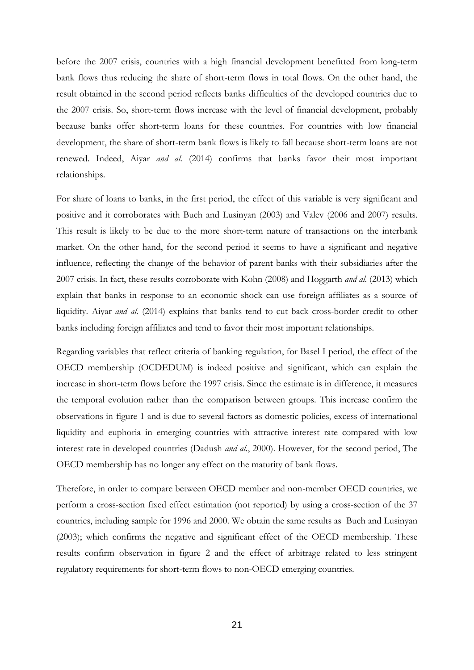before the 2007 crisis, countries with a high financial development benefitted from long-term bank flows thus reducing the share of short-term flows in total flows. On the other hand, the result obtained in the second period reflects banks difficulties of the developed countries due to the 2007 crisis. So, short-term flows increase with the level of financial development, probably because banks offer short-term loans for these countries. For countries with low financial development, the share of short-term bank flows is likely to fall because short-term loans are not renewed. Indeed, Aiyar *and al.* (2014) confirms that banks favor their most important relationships.

For share of loans to banks, in the first period, the effect of this variable is very significant and positive and it corroborates with Buch and Lusinyan (2003) and Valev (2006 and 2007) results. This result is likely to be due to the more short-term nature of transactions on the interbank market. On the other hand, for the second period it seems to have a significant and negative influence, reflecting the change of the behavior of parent banks with their subsidiaries after the 2007 crisis. In fact, these results corroborate with Kohn (2008) and Hoggarth *and al.* (2013) which explain that banks in response to an economic shock can use foreign affiliates as a source of liquidity. Aiyar *and al.* (2014) explains that banks tend to cut back cross-border credit to other banks including foreign affiliates and tend to favor their most important relationships.

Regarding variables that reflect criteria of banking regulation, for Basel I period, the effect of the OECD membership (OCDEDUM) is indeed positive and significant, which can explain the increase in short-term flows before the 1997 crisis. Since the estimate is in difference, it measures the temporal evolution rather than the comparison between groups. This increase confirm the observations in figure 1 and is due to several factors as domestic policies, excess of international liquidity and euphoria in emerging countries with attractive interest rate compared with low interest rate in developed countries (Dadush *and al.*, 2000). However, for the second period, The OECD membership has no longer any effect on the maturity of bank flows.

Therefore, in order to compare between OECD member and non-member OECD countries, we perform a cross-section fixed effect estimation (not reported) by using a cross-section of the 37 countries, including sample for 1996 and 2000. We obtain the same results as Buch and Lusinyan (2003); which confirms the negative and significant effect of the OECD membership. These results confirm observation in figure 2 and the effect of arbitrage related to less stringent regulatory requirements for short-term flows to non-OECD emerging countries.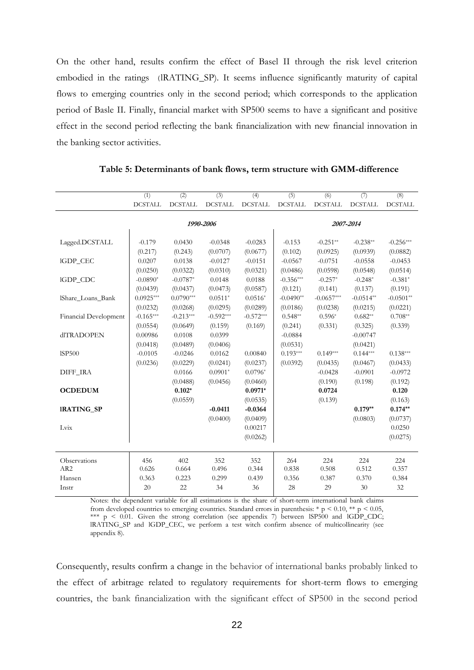On the other hand, results confirm the effect of Basel II through the risk level criterion embodied in the ratings (lRATING\_SP). It seems influence significantly maturity of capital flows to emerging countries only in the second period; which corresponds to the application period of Basle II. Finally, financial market with SP500 seems to have a significant and positive effect in the second period reflecting the bank financialization with new financial innovation in the banking sector activities.

|                       | (1)            | (2)            | (3)            | (4)            | (5)            | (6)            | (7)            | (8)            |  |  |
|-----------------------|----------------|----------------|----------------|----------------|----------------|----------------|----------------|----------------|--|--|
|                       | <b>DCSTALL</b> | <b>DCSTALL</b> | <b>DCSTALL</b> | <b>DCSTALL</b> | <b>DCSTALL</b> | <b>DCSTALL</b> | <b>DCSTALL</b> | <b>DCSTALL</b> |  |  |
|                       |                |                | 1990-2006      |                | 2007-2014      |                |                |                |  |  |
|                       |                |                |                |                |                |                |                |                |  |  |
| Lagged.DCSTALL        | $-0.179$       | 0.0430         | $-0.0348$      | $-0.0283$      | $-0.153$       | $-0.251**$     | $-0.238**$     | $-0.256***$    |  |  |
|                       | (0.217)        | (0.243)        | (0.0707)       | (0.0677)       | (0.102)        | (0.0925)       | (0.0939)       | (0.0882)       |  |  |
| IGDP CEC              | 0.0207         | 0.0138         | $-0.0127$      | $-0.0151$      | $-0.0567$      | $-0.0751$      | $-0.0558$      | $-0.0453$      |  |  |
|                       | (0.0250)       | (0.0322)       | (0.0310)       | (0.0321)       | (0.0486)       | (0.0598)       | (0.0548)       | (0.0514)       |  |  |
| IGDP_CDC              | $-0.0890*$     | $-0.0787*$     | 0.0148         | 0.0188         | $-0.356***$    | $-0.257*$      | $-0.248*$      | $-0.381*$      |  |  |
|                       | (0.0439)       | (0.0437)       | (0.0473)       | (0.0587)       | (0.121)        | (0.141)        | (0.137)        | (0.191)        |  |  |
| IShare Loans Bank     | $0.0925***$    | $0.0790***$    | $0.0511*$      | $0.0516*$      | $-0.0490**$    | $-0.0657***$   | $-0.0514**$    | $-0.0501**$    |  |  |
|                       | (0.0232)       | (0.0268)       | (0.0295)       | (0.0289)       | (0.0186)       | (0.0238)       | (0.0215)       | (0.0221)       |  |  |
| Financial Development | $-0.165***$    | $-0.213***$    | $-0.592***$    | $-0.572***$    | $0.548**$      | $0.596*$       | $0.682**$      | $0.708**$      |  |  |
|                       | (0.0554)       | (0.0649)       | (0.159)        | (0.169)        | (0.241)        | (0.331)        | (0.325)        | (0.339)        |  |  |
| <b>dlTRADOPEN</b>     | 0.00986        | 0.0108         | 0.0399         |                | $-0.0884$      |                | $-0.00747$     |                |  |  |
|                       | (0.0418)       | (0.0489)       | (0.0406)       |                | (0.0531)       |                | (0.0421)       |                |  |  |
| <b>ISP500</b>         | $-0.0105$      | $-0.0246$      | 0.0162         | 0.00840        | $0.193***$     | $0.149***$     | $0.144***$     | $0.138***$     |  |  |
|                       | (0.0236)       | (0.0229)       | (0.0241)       | (0.0237)       | (0.0392)       | (0.0435)       | (0.0467)       | (0.0433)       |  |  |
| <b>DIFF IRA</b>       |                | 0.0166         | $0.0901*$      | $0.0796*$      |                | $-0.0428$      | $-0.0901$      | $-0.0972$      |  |  |
|                       |                | (0.0488)       | (0.0456)       | (0.0460)       |                | (0.190)        | (0.198)        | (0.192)        |  |  |
| <b>OCDEDUM</b>        |                | $0.102*$       |                | $0.0971*$      |                | 0.0724         |                | 0.120          |  |  |
|                       |                | (0.0559)       |                | (0.0535)       |                | (0.139)        |                | (0.163)        |  |  |
| <b>IRATING_SP</b>     |                |                | $-0.0411$      | $-0.0364$      |                |                | $0.179**$      | $0.174**$      |  |  |
|                       |                |                | (0.0400)       | (0.0409)       |                |                | (0.0803)       | (0.0737)       |  |  |
| Lvix                  |                |                |                | 0.00217        |                |                |                | 0.0250         |  |  |
|                       |                |                |                | (0.0262)       |                |                |                | (0.0275)       |  |  |
|                       |                |                |                |                |                |                |                |                |  |  |
| Observations          | 456            | 402            | 352            | 352            | 264            | 224            | 224            | 224            |  |  |
| AR <sub>2</sub>       | 0.626          | 0.664          | 0.496          | 0.344          | 0.838          | 0.508          | 0.512          | 0.357          |  |  |
| Hansen                | 0.363          | 0.223          | 0.299          | 0.439          | 0.356          | 0.387          | 0.370          | 0.384          |  |  |
| Instr                 | 20             | 22             | 34             | 36             | 28             | 29             | 30             | 32             |  |  |

 **Table 5: Determinants of bank flows, term structure with GMM-difference**

Notes: the dependent variable for all estimations is the share of short-term international bank claims from developed countries to emerging countries. Standard errors in parenthesis: \* p < 0.10, \*\* p < 0.05, \*\*\* p < 0.01. Given the strong correlation (see appendix 7) between lSP500 and lGDP\_CDC; lRATING\_SP and lGDP\_CEC, we perform a test witch confirm absence of multicollinearity (see appendix 8).

Consequently, results confirm a change in the behavior of international banks probably linked to the effect of arbitrage related to regulatory requirements for short-term flows to emerging countries, the bank financialization with the significant effect of SP500 in the second period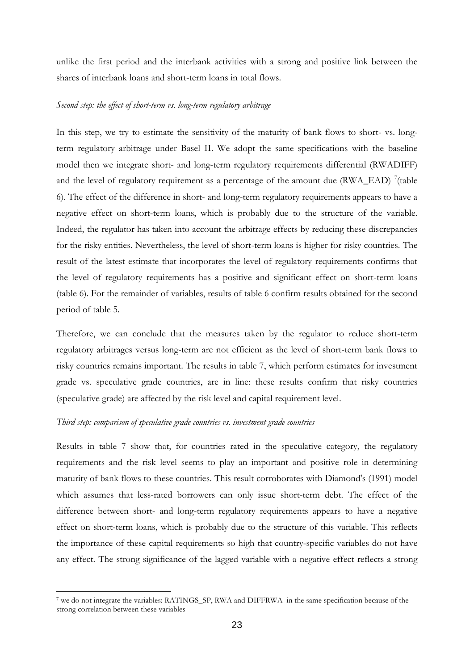unlike the first period and the interbank activities with a strong and positive link between the shares of interbank loans and short-term loans in total flows.

#### *Second step: the effect of short-term vs. long-term regulatory arbitrage*

In this step, we try to estimate the sensitivity of the maturity of bank flows to short- vs. longterm regulatory arbitrage under Basel II. We adopt the same specifications with the baseline model then we integrate short- and long-term regulatory requirements differential (RWADIFF) and the level of regulatory requirement as a percentage of the amount due  $(RWA\_EAD)$ <sup>7</sup>(table 6). The effect of the difference in short- and long-term regulatory requirements appears to have a negative effect on short-term loans, which is probably due to the structure of the variable. Indeed, the regulator has taken into account the arbitrage effects by reducing these discrepancies for the risky entities. Nevertheless, the level of short-term loans is higher for risky countries. The result of the latest estimate that incorporates the level of regulatory requirements confirms that the level of regulatory requirements has a positive and significant effect on short-term loans (table 6). For the remainder of variables, results of table 6 confirm results obtained for the second period of table 5.

Therefore, we can conclude that the measures taken by the regulator to reduce short-term regulatory arbitrages versus long-term are not efficient as the level of short-term bank flows to risky countries remains important. The results in table 7, which perform estimates for investment grade vs. speculative grade countries, are in line: these results confirm that risky countries (speculative grade) are affected by the risk level and capital requirement level.

### *Third step: comparison of speculative grade countries vs. investment grade countries*

1

Results in table 7 show that, for countries rated in the speculative category, the regulatory requirements and the risk level seems to play an important and positive role in determining maturity of bank flows to these countries. This result corroborates with Diamond's (1991) model which assumes that less-rated borrowers can only issue short-term debt. The effect of the difference between short- and long-term regulatory requirements appears to have a negative effect on short-term loans, which is probably due to the structure of this variable. This reflects the importance of these capital requirements so high that country-specific variables do not have any effect. The strong significance of the lagged variable with a negative effect reflects a strong

<sup>7</sup> we do not integrate the variables: RATINGS\_SP, RWA and DIFFRWA in the same specification because of the strong correlation between these variables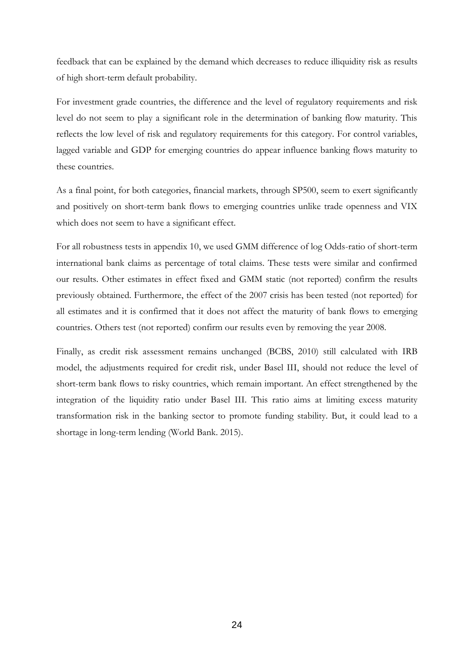feedback that can be explained by the demand which decreases to reduce illiquidity risk as results of high short-term default probability.

For investment grade countries, the difference and the level of regulatory requirements and risk level do not seem to play a significant role in the determination of banking flow maturity. This reflects the low level of risk and regulatory requirements for this category. For control variables, lagged variable and GDP for emerging countries do appear influence banking flows maturity to these countries.

As a final point, for both categories, financial markets, through SP500, seem to exert significantly and positively on short-term bank flows to emerging countries unlike trade openness and VIX which does not seem to have a significant effect.

For all robustness tests in appendix 10, we used GMM difference of log Odds-ratio of short-term international bank claims as percentage of total claims. These tests were similar and confirmed our results. Other estimates in effect fixed and GMM static (not reported) confirm the results previously obtained. Furthermore, the effect of the 2007 crisis has been tested (not reported) for all estimates and it is confirmed that it does not affect the maturity of bank flows to emerging countries. Others test (not reported) confirm our results even by removing the year 2008.

Finally, as credit risk assessment remains unchanged (BCBS, 2010) still calculated with IRB model, the adjustments required for credit risk, under Basel III, should not reduce the level of short-term bank flows to risky countries, which remain important. An effect strengthened by the integration of the liquidity ratio under Basel III. This ratio aims at limiting excess maturity transformation risk in the banking sector to promote funding stability. But, it could lead to a shortage in long-term lending (World Bank. 2015).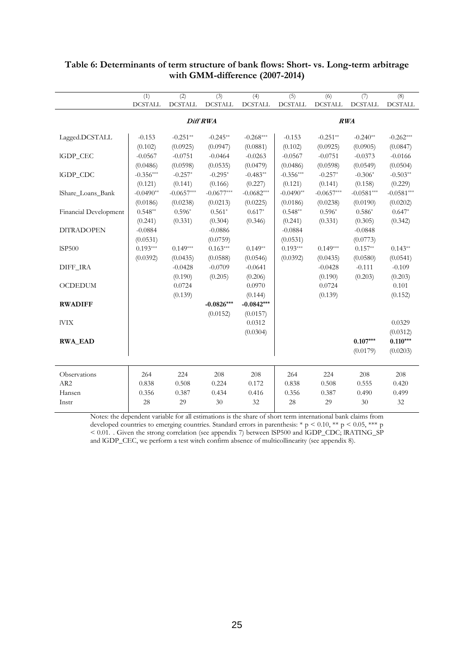|                          | (1)            | $\overline{(2)}$ | (3)            | (4)            | (5)            | (6)            | $\overline{(\overline{7})}$ | (8)            |
|--------------------------|----------------|------------------|----------------|----------------|----------------|----------------|-----------------------------|----------------|
|                          | <b>DCSTALL</b> | $\sf DCSTALL$    | <b>DCSTALL</b> | <b>DCSTALL</b> | <b>DCSTALL</b> | <b>DCSTALL</b> | <b>DCSTALL</b>              | <b>DCSTALL</b> |
|                          |                |                  |                |                |                |                |                             |                |
|                          |                |                  | Diff RWA       |                | RWA            |                |                             |                |
| Lagged.DCSTALL           | $-0.153$       | $-0.251**$       | $-0.245**$     | $-0.268***$    | $-0.153$       | $-0.251**$     | $-0.240**$                  | $-0.262***$    |
|                          | (0.102)        | (0.0925)         | (0.0947)       | (0.0881)       | (0.102)        | (0.0925)       | (0.0905)                    | (0.0847)       |
| IGDP_CEC                 | $-0.0567$      | $-0.0751$        | $-0.0464$      | $-0.0263$      | $-0.0567$      | $-0.0751$      | $-0.0373$                   | $-0.0166$      |
|                          | (0.0486)       | (0.0598)         | (0.0535)       | (0.0479)       | (0.0486)       | (0.0598)       | (0.0549)                    | (0.0504)       |
| IGDP_CDC                 | $-0.356***$    | $-0.257*$        | $-0.295*$      | $-0.483**$     | $-0.356***$    | $-0.257*$      | $-0.306*$                   | $-0.503**$     |
|                          | (0.121)        | (0.141)          | (0.166)        | (0.227)        | (0.121)        | (0.141)        | (0.158)                     | (0.229)        |
| <b>IShare Loans Bank</b> | $-0.0490**$    | $-0.0657***$     | $-0.0677***$   | $-0.0682***$   | $-0.0490**$    | $-0.0657***$   | $-0.0581***$                | $-0.0581***$   |
|                          | (0.0186)       | (0.0238)         | (0.0213)       | (0.0225)       | (0.0186)       | (0.0238)       | (0.0190)                    | (0.0202)       |
| Financial Development    | $0.548**$      | $0.596*$         | $0.561*$       | $0.617*$       | $0.548**$      | $0.596*$       | $0.586*$                    | $0.647*$       |
|                          | (0.241)        | (0.331)          | (0.304)        | (0.346)        | (0.241)        | (0.331)        | (0.305)                     | (0.342)        |
| <b>DITRADOPEN</b>        | $-0.0884$      |                  | $-0.0886$      |                | $-0.0884$      |                | $-0.0848$                   |                |
|                          | (0.0531)       |                  | (0.0759)       |                | (0.0531)       |                | (0.0773)                    |                |
| <b>ISP500</b>            | $0.193***$     | $0.149***$       | $0.163***$     | $0.149**$      | $0.193***$     | $0.149***$     | $0.157**$                   | $0.143**$      |
|                          | (0.0392)       | (0.0435)         | (0.0588)       | (0.0546)       | (0.0392)       | (0.0435)       | (0.0580)                    | (0.0541)       |
| DIFF IRA                 |                | $-0.0428$        | $-0.0709$      | $-0.0641$      |                | $-0.0428$      | $-0.111$                    | $-0.109$       |
|                          |                | (0.190)          | (0.205)        | (0.206)        |                | (0.190)        | (0.203)                     | (0.203)        |
| <b>OCDEDUM</b>           |                | 0.0724           |                | 0.0970         |                | 0.0724         |                             | 0.101          |
|                          |                | (0.139)          |                | (0.144)        |                | (0.139)        |                             | (0.152)        |
| <b>RWADIFF</b>           |                |                  | $-0.0826***$   | $-0.0842***$   |                |                |                             |                |
|                          |                |                  | (0.0152)       | (0.0157)       |                |                |                             |                |
| <b>IVIX</b>              |                |                  |                | 0.0312         |                |                |                             | 0.0329         |
|                          |                |                  |                | (0.0304)       |                |                |                             | (0.0312)       |
| <b>RWA EAD</b>           |                |                  |                |                |                |                | $0.107***$                  | $0.110***$     |
|                          |                |                  |                |                |                |                | (0.0179)                    | (0.0203)       |
|                          |                |                  |                |                |                |                |                             |                |
| Observations             | 264            | 224              | 208            | 208            | 264            | 224            | 208                         | 208            |
| AR <sub>2</sub>          | 0.838          | 0.508            | 0.224          | 0.172          | 0.838          | 0.508          | 0.555                       | 0.420          |
| Hansen                   | 0.356          | 0.387            | 0.434          | 0.416          | 0.356          | 0.387          | 0.490                       | 0.499          |
| Instr                    | 28             | 29               | 30             | 32             | 28             | 29             | 30                          | 32             |

### **Table 6: Determinants of term structure of bank flows: Short- vs. Long-term arbitrage with GMM-difference (2007-2014)**

Notes: the dependent variable for all estimations is the share of short term international bank claims from developed countries to emerging countries. Standard errors in parenthesis: \*  $p \le 0.10$ , \*\*  $p \le 0.05$ , \*\*\* p < 0.01. . Given the strong correlation (see appendix 7) between lSP500 and lGDP\_CDC; lRATING\_SP and lGDP\_CEC, we perform a test witch confirm absence of multicollinearity (see appendix 8).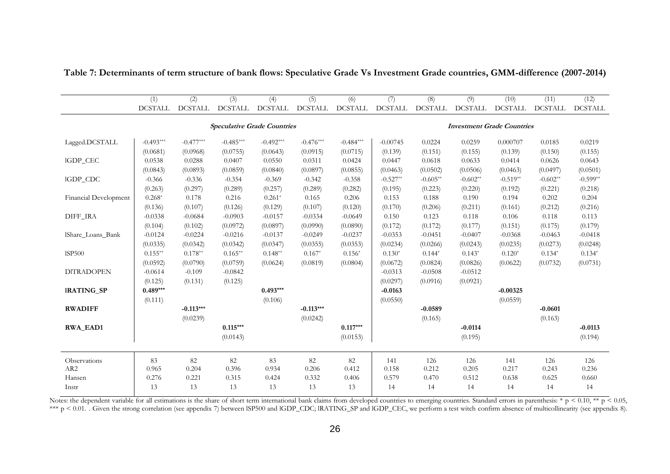|                       | (1)            | (2)            | (3)            | (4)                                | (5)            | (6)            | (7)            | (8)            | (9)                               | (10)           | (11)           | (12)           |
|-----------------------|----------------|----------------|----------------|------------------------------------|----------------|----------------|----------------|----------------|-----------------------------------|----------------|----------------|----------------|
|                       | <b>DCSTALL</b> | <b>DCSTALL</b> | <b>DCSTALL</b> | <b>DCSTALL</b>                     | <b>DCSTALL</b> | <b>DCSTALL</b> | <b>DCSTALL</b> | <b>DCSTALL</b> | <b>DCSTALL</b>                    | <b>DCSTALL</b> | <b>DCSTALL</b> | <b>DCSTALL</b> |
|                       |                |                |                | <b>Speculative Grade Countries</b> |                |                |                |                | <b>Investment Grade Countries</b> |                |                |                |
| Lagged.DCSTALL        | $-0.493***$    | $-0.477***$    | $-0.485***$    | $-0.492***$                        | $-0.476***$    | $-0.484***$    | $-0.00745$     | 0.0224         | 0.0259                            | 0.000707       | 0.0185         | 0.0219         |
|                       | (0.0681)       | (0.0968)       | (0.0755)       | (0.0643)                           | (0.0915)       | (0.0715)       | (0.139)        | (0.151)        | (0.155)                           | (0.139)        | (0.150)        | (0.155)        |
| IGDP_CEC              | 0.0538         | 0.0288         | 0.0407         | 0.0550                             | 0.0311         | 0.0424         | 0.0447         | 0.0618         | 0.0633                            | 0.0414         | 0.0626         | 0.0643         |
|                       | (0.0843)       | (0.0893)       | (0.0859)       | (0.0840)                           | (0.0897)       | (0.0855)       | (0.0463)       | (0.0502)       | (0.0506)                          | (0.0463)       | (0.0497)       | (0.0501)       |
| IGDP_CDC              | $-0.366$       | $-0.336$       | $-0.354$       | $-0.369$                           | $-0.342$       | $-0.358$       | $-0.527**$     | $-0.605**$     | $-0.602**$                        | $-0.519**$     | $-0.602**$     | $-0.599**$     |
|                       | (0.263)        | (0.297)        | (0.289)        | (0.257)                            | (0.289)        | (0.282)        | (0.195)        | (0.223)        | (0.220)                           | (0.192)        | (0.221)        | (0.218)        |
| Financial Development | $0.268*$       | 0.178          | 0.216          | $0.261*$                           | 0.165          | 0.206          | 0.153          | 0.188          | 0.190                             | 0.194          | 0.202          | 0.204          |
|                       | (0.136)        | (0.107)        | (0.126)        | (0.129)                            | (0.107)        | (0.120)        | (0.170)        | (0.206)        | (0.211)                           | (0.161)        | (0.212)        | (0.216)        |
| DIFF_IRA              | $-0.0338$      | $-0.0684$      | $-0.0903$      | $-0.0157$                          | $-0.0334$      | $-0.0649$      | 0.150          | 0.123          | 0.118                             | 0.106          | 0.118          | 0.113          |
|                       | (0.104)        | (0.102)        | (0.0972)       | (0.0897)                           | (0.0990)       | (0.0890)       | (0.172)        | (0.172)        | (0.177)                           | (0.151)        | (0.175)        | (0.179)        |
| IShare Loans Bank     | $-0.0124$      | $-0.0224$      | $-0.0216$      | $-0.0137$                          | $-0.0249$      | $-0.0237$      | $-0.0353$      | $-0.0451$      | $-0.0407$                         | $-0.0368$      | $-0.0463$      | $-0.0418$      |
|                       | (0.0335)       | (0.0342)       | (0.0342)       | (0.0347)                           | (0.0355)       | (0.0353)       | (0.0234)       | (0.0266)       | (0.0243)                          | (0.0235)       | (0.0273)       | (0.0248)       |
| <b>ISP500</b>         | $0.155**$      | $0.178**$      | $0.165***$     | $0.148**$                          | $0.167*$       | $0.156*$       | $0.130*$       | $0.144*$       | $0.143*$                          | $0.120*$       | $0.134*$       | $0.134*$       |
|                       | (0.0592)       | (0.0790)       | (0.0759)       | (0.0624)                           | (0.0819)       | (0.0804)       | (0.0672)       | (0.0824)       | (0.0826)                          | (0.0622)       | (0.0732)       | (0.0731)       |
| <b>DITRADOPEN</b>     | $-0.0614$      | $-0.109$       | $-0.0842$      |                                    |                |                | $-0.0313$      | $-0.0508$      | $-0.0512$                         |                |                |                |
|                       | (0.125)        | (0.131)        | (0.125)        |                                    |                |                | (0.0297)       | (0.0916)       | (0.0921)                          |                |                |                |
| <b>IRATING_SP</b>     | $0.489***$     |                |                | $0.493***$                         |                |                | $-0.0163$      |                |                                   | $-0.00325$     |                |                |
|                       | (0.111)        |                |                | (0.106)                            |                |                | (0.0550)       |                |                                   | (0.0559)       |                |                |
| <b>RWADIFF</b>        |                | $-0.113***$    |                |                                    | $-0.113***$    |                |                | $-0.0589$      |                                   |                | $-0.0601$      |                |
|                       |                | (0.0239)       |                |                                    | (0.0242)       |                |                | (0.165)        |                                   |                | (0.163)        |                |
| <b>RWA_EAD1</b>       |                |                | $0.115***$     |                                    |                | $0.117***$     |                |                | $-0.0114$                         |                |                | $-0.0113$      |
|                       |                |                | (0.0143)       |                                    |                | (0.0153)       |                |                | (0.195)                           |                |                | (0.194)        |
| Observations          | 83             | 82             | 82             | 83                                 | 82             | 82             | 141            | 126            | 126                               | 141            | 126            | 126            |
| AR <sub>2</sub>       | 0.965          | 0.204          | 0.396          | 0.934                              | 0.206          | 0.412          | 0.158          | 0.212          | 0.205                             | 0.217          | 0.243          | 0.236          |
| Hansen                | 0.276          | 0.221          | 0.315          | 0.424                              | 0.332          | 0.406          | 0.579          | 0.470          | 0.512                             | 0.638          | 0.625          | 0.660          |
| Instr                 | 13             | 13             | 13             | 13                                 | 13             | 13             | 14             | 14             | 14                                | 14             | 14             | 14             |

**Table 7: Determinants of term structure of bank flows: Speculative Grade Vs Investment Grade countries, GMM-difference (2007-2014)**

Notes: the dependent variable for all estimations is the share of short term international bank claims from developed countries to emerging countries. Standard errors in parenthesis: \* p < 0.10, \*\* p < 0.05, \*\*\* p < 0.01. Given the strong correlation (see appendix 7) between ISP500 and IGDP\_CDC; IRATING\_SP and IGDP\_CEC, we perform a test witch confirm absence of multicollinearity (see appendix 8).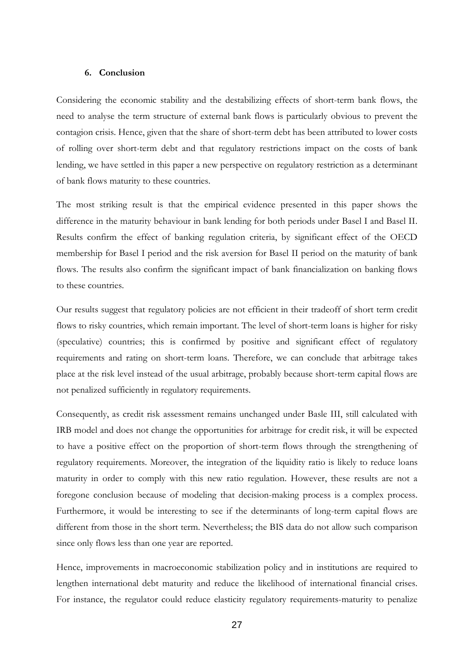#### **6. Conclusion**

Considering the economic stability and the destabilizing effects of short-term bank flows, the need to analyse the term structure of external bank flows is particularly obvious to prevent the contagion crisis. Hence, given that the share of short-term debt has been attributed to lower costs of rolling over short-term debt and that regulatory restrictions impact on the costs of bank lending, we have settled in this paper a new perspective on regulatory restriction as a determinant of bank flows maturity to these countries.

The most striking result is that the empirical evidence presented in this paper shows the difference in the maturity behaviour in bank lending for both periods under Basel I and Basel II. Results confirm the effect of banking regulation criteria, by significant effect of the OECD membership for Basel I period and the risk aversion for Basel II period on the maturity of bank flows. The results also confirm the significant impact of bank financialization on banking flows to these countries.

Our results suggest that regulatory policies are not efficient in their tradeoff of short term credit flows to risky countries, which remain important. The level of short-term loans is higher for risky (speculative) countries; this is confirmed by positive and significant effect of regulatory requirements and rating on short-term loans. Therefore, we can conclude that arbitrage takes place at the risk level instead of the usual arbitrage, probably because short-term capital flows are not penalized sufficiently in regulatory requirements.

Consequently, as credit risk assessment remains unchanged under Basle III, still calculated with IRB model and does not change the opportunities for arbitrage for credit risk, it will be expected to have a positive effect on the proportion of short-term flows through the strengthening of regulatory requirements. Moreover, the integration of the liquidity ratio is likely to reduce loans maturity in order to comply with this new ratio regulation. However, these results are not a foregone conclusion because of modeling that decision-making process is a complex process. Furthermore, it would be interesting to see if the determinants of long-term capital flows are different from those in the short term. Nevertheless; the BIS data do not allow such comparison since only flows less than one year are reported.

Hence, improvements in macroeconomic stabilization policy and in institutions are required to lengthen international debt maturity and reduce the likelihood of international financial crises. For instance, the regulator could reduce elasticity regulatory requirements-maturity to penalize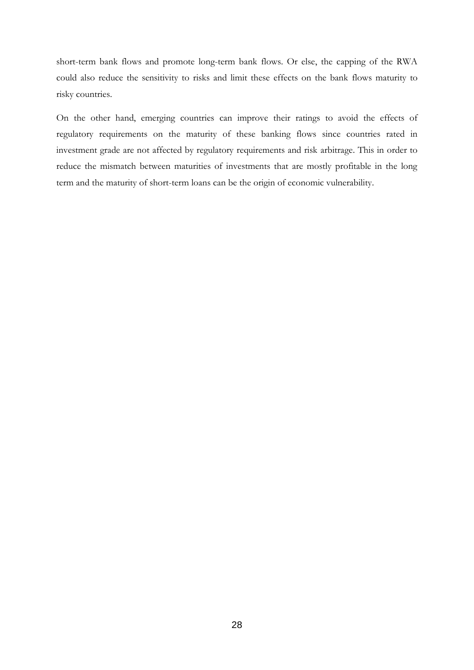short-term bank flows and promote long-term bank flows. Or else, the capping of the RWA could also reduce the sensitivity to risks and limit these effects on the bank flows maturity to risky countries.

On the other hand, emerging countries can improve their ratings to avoid the effects of regulatory requirements on the maturity of these banking flows since countries rated in investment grade are not affected by regulatory requirements and risk arbitrage. This in order to reduce the mismatch between maturities of investments that are mostly profitable in the long term and the maturity of short-term loans can be the origin of economic vulnerability.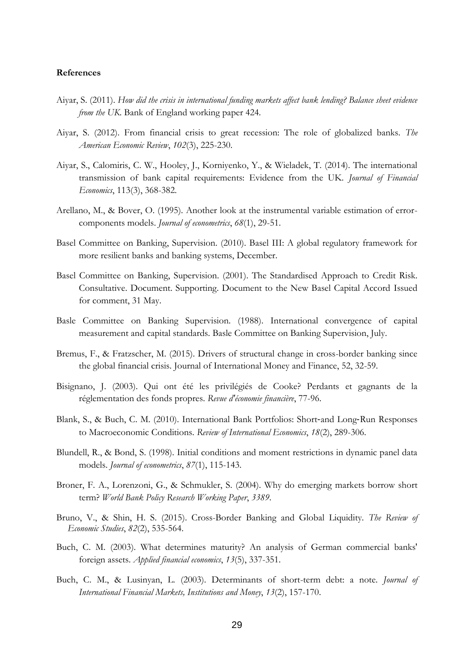#### **References**

- Aiyar, S. (2011). *How did the crisis in international funding markets affect bank lending? Balance sheet evidence from the UK*. Bank of England working paper 424.
- Aiyar, S. (2012). From financial crisis to great recession: The role of globalized banks. *The American Economic Review*, *102*(3), 225-230.
- Aiyar, S., Calomiris, C. W., Hooley, J., Korniyenko, Y., & Wieladek, T. (2014). The international transmission of bank capital requirements: Evidence from the UK. *Journal of Financial Economics*, 113(3), 368-382.
- Arellano, M., & Bover, O. (1995). Another look at the instrumental variable estimation of errorcomponents models. *Journal of econometrics*, *68*(1), 29-51.
- Basel Committee on Banking, Supervision. (2010). Basel III: A global regulatory framework for more resilient banks and banking systems, December.
- Basel Committee on Banking, Supervision. (2001). The Standardised Approach to Credit Risk. Consultative. Document. Supporting. Document to the New Basel Capital Accord Issued for comment, 31 May.
- Basle Committee on Banking Supervision. (1988). International convergence of capital measurement and capital standards. Basle Committee on Banking Supervision, July.
- Bremus, F., & Fratzscher, M. (2015). Drivers of structural change in cross-border banking since the global financial crisis. Journal of International Money and Finance, 52, 32-59.
- Bisignano, J. (2003). Qui ont été les privilégiés de Cooke? Perdants et gagnants de la réglementation des fonds propres. *Revue d'économie financière*, 77-96.
- Blank, S., & Buch, C. M. (2010). International Bank Portfolios: Short-and Long-Run Responses to Macroeconomic Conditions. *Review of International Economics*, *18*(2), 289-306.
- Blundell, R., & Bond, S. (1998). Initial conditions and moment restrictions in dynamic panel data models. *Journal of econometrics*, *87*(1), 115-143.
- Broner, F. A., Lorenzoni, G., & Schmukler, S. (2004). Why do emerging markets borrow short term? *World Bank Policy Research Working Paper*, *3389*.
- Bruno, V., & Shin, H. S. (2015). Cross-Border Banking and Global Liquidity. *The Review of Economic Studies*, *82*(2), 535-564.
- Buch, C. M. (2003). What determines maturity? An analysis of German commercial banks' foreign assets. *Applied financial economics*, *13*(5), 337-351.
- Buch, C. M., & Lusinyan, L. (2003). Determinants of short-term debt: a note. *Journal of International Financial Markets, Institutions and Money*, *13*(2), 157-170.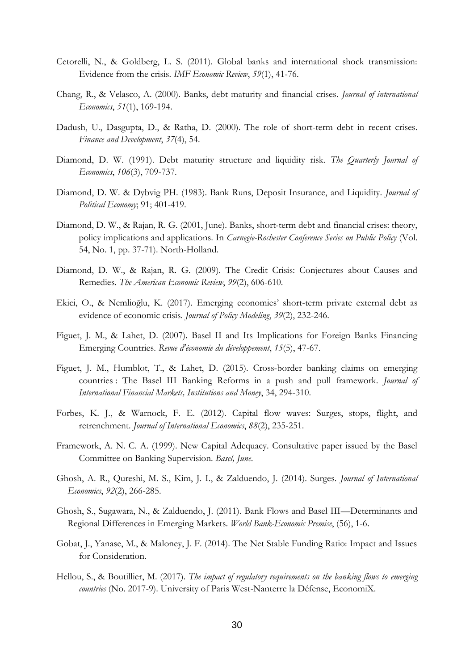- Cetorelli, N., & Goldberg, L. S. (2011). Global banks and international shock transmission: Evidence from the crisis. *IMF Economic Review*, *59*(1), 41-76.
- Chang, R., & Velasco, A. (2000). Banks, debt maturity and financial crises. *Journal of international Economics*, *51*(1), 169-194.
- Dadush, U., Dasgupta, D., & Ratha, D. (2000). The role of short-term debt in recent crises. *Finance and Development*, *37*(4), 54.
- Diamond, D. W. (1991). Debt maturity structure and liquidity risk. *The Quarterly Journal of Economics*, *106*(3), 709-737.
- Diamond, D. W. & Dybvig PH. (1983). Bank Runs, Deposit Insurance, and Liquidity. *Journal of Political Economy*; 91; 401-419.
- Diamond, D. W., & Rajan, R. G. (2001, June). Banks, short-term debt and financial crises: theory, policy implications and applications. In *Carnegie-Rochester Conference Series on Public Policy* (Vol. 54, No. 1, pp. 37-71). North-Holland.
- Diamond, D. W., & Rajan, R. G. (2009). The Credit Crisis: Conjectures about Causes and Remedies. *The American Economic Review*, *99*(2), 606-610.
- Ekici, O., & Nemlioğlu, K. (2017). Emerging economies' short-term private external debt as evidence of economic crisis. *Journal of Policy Modeling*, *39*(2), 232-246.
- Figuet, J. M., & Lahet, D. (2007). Basel II and Its Implications for Foreign Banks Financing Emerging Countries. *Revue d'économie du développement*, *15*(5), 47-67.
- Figuet, J. M., Humblot, T., & Lahet, D. (2015). Cross-border banking claims on emerging countries : The Basel III Banking Reforms in a push and pull framework. *Journal of International Financial Markets, Institutions and Money*, 34, 294-310.
- Forbes, K. J., & Warnock, F. E. (2012). Capital flow waves: Surges, stops, flight, and retrenchment. *Journal of International Economics*, *88*(2), 235-251.
- Framework, A. N. C. A. (1999). New Capital Adequacy. Consultative paper issued by the Basel Committee on Banking Supervision. *Basel, June*.
- Ghosh, A. R., Qureshi, M. S., Kim, J. I., & Zalduendo, J. (2014). Surges. *Journal of International Economics*, *92*(2), 266-285.
- Ghosh, S., Sugawara, N., & Zalduendo, J. (2011). Bank Flows and Basel III—Determinants and Regional Differences in Emerging Markets. *World Bank-Economic Premise*, (56), 1-6.
- Gobat, J., Yanase, M., & Maloney, J. F. (2014). The Net Stable Funding Ratio: Impact and Issues for Consideration.
- Hellou, S., & Boutillier, M. (2017). *The impact of regulatory requirements on the banking flows to emerging countries* (No. 2017-9). University of Paris West-Nanterre la Défense, EconomiX.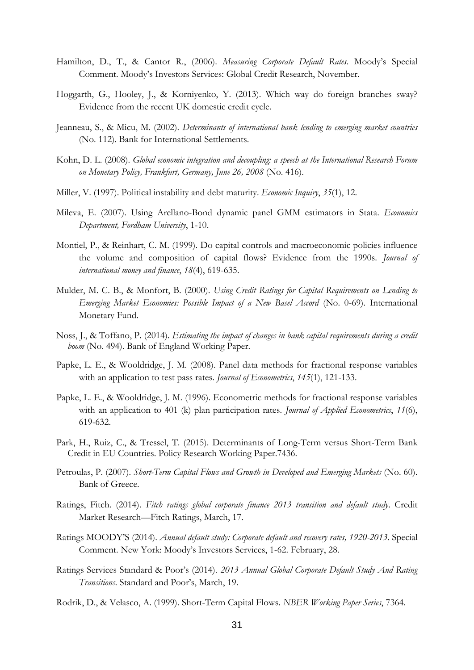- Hamilton, D., T., & Cantor R., (2006). *Measuring Corporate Default Rates*. Moody's Special Comment. Moody's Investors Services: Global Credit Research, November.
- Hoggarth, G., Hooley, J., & Korniyenko, Y. (2013). Which way do foreign branches sway? Evidence from the recent UK domestic credit cycle.
- Jeanneau, S., & Micu, M. (2002). *Determinants of international bank lending to emerging market countries* (No. 112). Bank for International Settlements.
- Kohn, D. L. (2008). *Global economic integration and decoupling: a speech at the International Research Forum on Monetary Policy, Frankfurt, Germany, June 26, 2008* (No. 416).
- Miller, V. (1997). Political instability and debt maturity. *Economic Inquiry*, *35*(1), 12.
- Mileva, E. (2007). Using Arellano-Bond dynamic panel GMM estimators in Stata. *Economics Department, Fordham University*, 1-10.
- Montiel, P., & Reinhart, C. M. (1999). Do capital controls and macroeconomic policies influence the volume and composition of capital flows? Evidence from the 1990s. *Journal of international money and finance*, *18*(4), 619-635.
- Mulder, M. C. B., & Monfort, B. (2000). *Using Credit Ratings for Capital Requirements on Lending to Emerging Market Economies: Possible Impact of a New Basel Accord* (No. 0-69). International Monetary Fund.
- Noss, J., & Toffano, P. (2014). *Estimating the impact of changes in bank capital requirements during a credit boom* (No. 494). Bank of England Working Paper.
- Papke, L. E., & Wooldridge, J. M. (2008). Panel data methods for fractional response variables with an application to test pass rates. *Journal of Econometrics*, *145*(1), 121-133.
- Papke, L. E., & Wooldridge, J. M. (1996). Econometric methods for fractional response variables with an application to 401 (k) plan participation rates. *Journal of Applied Econometrics*, *11*(6), 619-632.
- Park, H., Ruiz, C., & Tressel, T. (2015). Determinants of Long-Term versus Short-Term Bank Credit in EU Countries. Policy Research Working Paper.7436.
- Petroulas, P. (2007). *Short-Term Capital Flows and Growth in Developed and Emerging Markets* (No. 60). Bank of Greece.
- Ratings, Fitch. (2014). *Fitch ratings global corporate finance 2013 transition and default study*. Credit Market Research—Fitch Ratings, March, 17.
- Ratings MOODY'S (2014). *Annual default study: Corporate default and recovery rates, 1920-2013*. Special Comment. New York: Moody's Investors Services, 1-62. February, 28.
- Ratings Services Standard & Poor's (2014). *2013 Annual Global Corporate Default Study And Rating Transitions*. Standard and Poor's, March, 19.
- Rodrik, D., & Velasco, A. (1999). Short-Term Capital Flows. *NBER Working Paper Series*, 7364.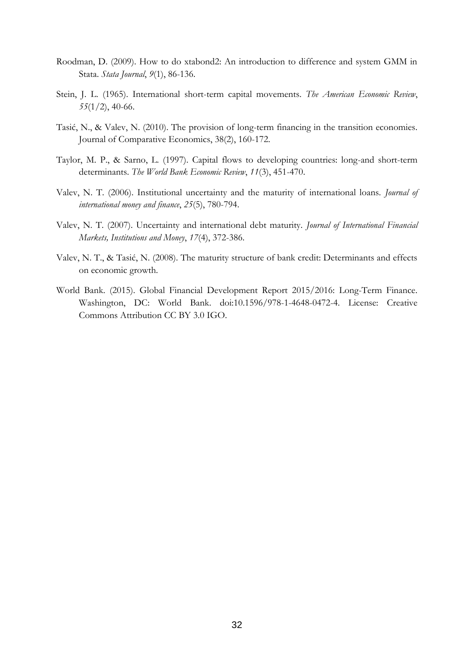- Roodman, D. (2009). How to do xtabond2: An introduction to difference and system GMM in Stata. *Stata Journal*, *9*(1), 86-136.
- Stein, J. L. (1965). International short-term capital movements. *The American Economic Review*, *55*(1/2), 40-66.
- Tasić, N., & Valev, N. (2010). The provision of long-term financing in the transition economies. Journal of Comparative Economics, 38(2), 160-172.
- Taylor, M. P., & Sarno, L. (1997). Capital flows to developing countries: long-and short-term determinants. *The World Bank Economic Review*, *11*(3), 451-470.
- Valev, N. T. (2006). Institutional uncertainty and the maturity of international loans. *Journal of international money and finance*, *25*(5), 780-794.
- Valev, N. T. (2007). Uncertainty and international debt maturity. *Journal of International Financial Markets, Institutions and Money*, *17*(4), 372-386.
- Valev, N. T., & Tasić, N. (2008). The maturity structure of bank credit: Determinants and effects on economic growth.
- World Bank. (2015). Global Financial Development Report 2015/2016: Long-Term Finance. Washington, DC: World Bank. doi:10.1596/978-1-4648-0472-4. License: Creative Commons Attribution CC BY 3.0 IGO.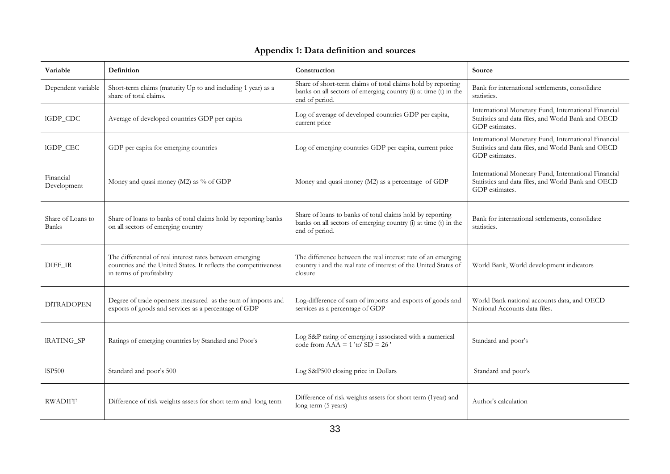| Variable                   | Definition                                                                                                                                                | Construction                                                                                                                                      | Source                                                                                                                       |
|----------------------------|-----------------------------------------------------------------------------------------------------------------------------------------------------------|---------------------------------------------------------------------------------------------------------------------------------------------------|------------------------------------------------------------------------------------------------------------------------------|
| Dependent variable         | Short-term claims (maturity Up to and including 1 year) as a<br>share of total claims.                                                                    | Share of short-term claims of total claims hold by reporting<br>banks on all sectors of emerging country (i) at time (t) in the<br>end of period. | Bank for international settlements, consolidate<br>statistics.                                                               |
| IGDP_CDC                   | Average of developed countries GDP per capita                                                                                                             | Log of average of developed countries GDP per capita,<br>current price                                                                            | International Monetary Fund, International Financial<br>Statistics and data files, and World Bank and OECD<br>GDP estimates. |
| IGDP_CEC                   | GDP per capita for emerging countries                                                                                                                     | Log of emerging countries GDP per capita, current price                                                                                           | International Monetary Fund, International Financial<br>Statistics and data files, and World Bank and OECD<br>GDP estimates. |
| Financial<br>Development   | Money and quasi money (M2) as % of GDP                                                                                                                    | Money and quasi money (M2) as a percentage of GDP                                                                                                 | International Monetary Fund, International Financial<br>Statistics and data files, and World Bank and OECD<br>GDP estimates. |
| Share of Loans to<br>Banks | Share of loans to banks of total claims hold by reporting banks<br>on all sectors of emerging country                                                     | Share of loans to banks of total claims hold by reporting<br>banks on all sectors of emerging country (i) at time (t) in the<br>end of period.    | Bank for international settlements, consolidate<br>statistics.                                                               |
| DIFF_IR                    | The differential of real interest rates between emerging<br>countries and the United States. It reflects the competitiveness<br>in terms of profitability | The difference between the real interest rate of an emerging<br>country i and the real rate of interest of the United States of<br>closure        | World Bank, World development indicators                                                                                     |
| <b>DITRADOPEN</b>          | Degree of trade openness measured as the sum of imports and<br>exports of goods and services as a percentage of GDP                                       | Log-difference of sum of imports and exports of goods and<br>services as a percentage of GDP                                                      | World Bank national accounts data, and OECD<br>National Accounts data files.                                                 |
| IRATING_SP                 | Ratings of emerging countries by Standard and Poor's                                                                                                      | Log S&P rating of emerging i associated with a numerical<br>code from $AAA = 1$ 'to' $SD = 26$ '                                                  | Standard and poor's                                                                                                          |
| <b>ISP500</b>              | Standard and poor's 500                                                                                                                                   | Log S&P500 closing price in Dollars                                                                                                               | Standard and poor's                                                                                                          |
| <b>RWADIFF</b>             | Difference of risk weights assets for short term and long term                                                                                            | Difference of risk weights assets for short term (1year) and<br>long term (5 years)                                                               | Author's calculation                                                                                                         |

## **Appendix 1: Data definition and sources**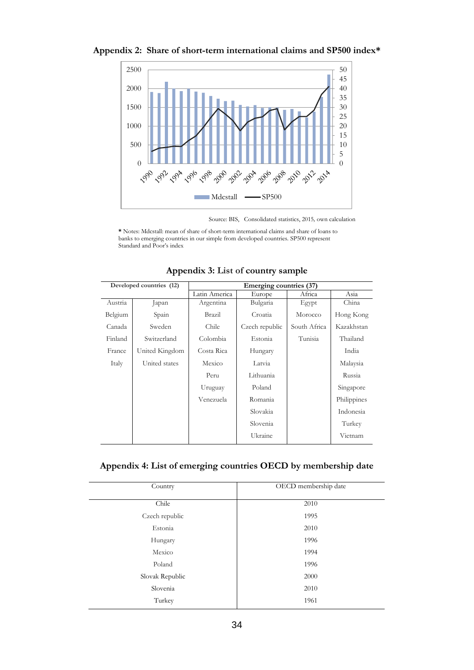

**Appendix 2: Share of short-term international claims and SP500 index\***

Source: BIS, Consolidated statistics, 2015*,* own calculation

**\*** Notes: Mdcstall: mean of share of short-term international claims and share of loans to banks to emerging countries in our simple from developed countries. SP500 represent Standard and Poor's index

| Developed countries (12) |               |                |              |                         |
|--------------------------|---------------|----------------|--------------|-------------------------|
|                          | Latin America | Europe         | Africa       | Asia                    |
| Japan                    | Argentina     | Bulgaria       | Egypt        | China                   |
| Spain                    | Brazil        | Croatia        | Morocco      | Hong Kong               |
| Sweden                   | Chile         | Czech republic | South Africa | Kazakhstan              |
| Switzerland              | Colombia      | Estonia        | Tunisia      | Thailand                |
| United Kingdom           | Costa Rica    | Hungary        |              | India                   |
| United states            | Mexico        | Latvia         |              | Malaysia                |
|                          | Peru          | Lithuania      |              | Russia                  |
|                          | Uruguay       | Poland         |              | Singapore               |
|                          | Venezuela     | Romania        |              | Philippines             |
|                          |               | Slovakia       |              | Indonesia               |
|                          |               | Slovenia       |              | Turkey                  |
|                          |               | Ukraine        |              | Vietnam                 |
|                          |               |                |              | Emerging countries (37) |

**Appendix 3: List of country sample** 

**Appendix 4: List of emerging countries OECD by membership date**

| Country         | OECD membership date |
|-----------------|----------------------|
| Chile           | 2010                 |
| Czech republic  | 1995                 |
| Estonia         | 2010                 |
| Hungary         | 1996                 |
| Mexico          | 1994                 |
| Poland          | 1996                 |
| Slovak Republic | 2000                 |
| Slovenia        | 2010                 |
| Turkey          | 1961                 |
|                 |                      |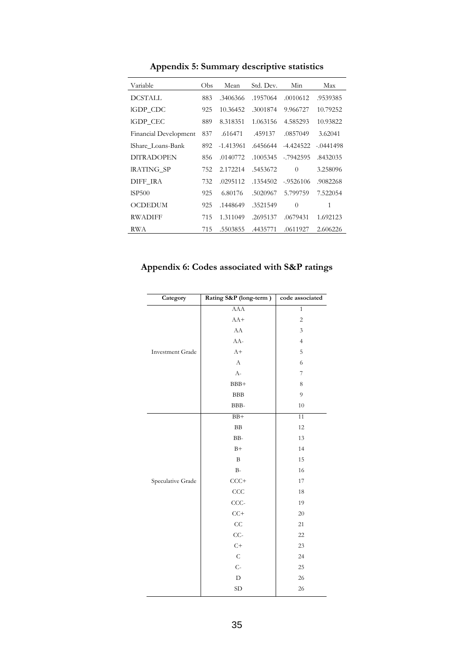| Variable              | Obs | Mean        | Std. Dev. | Min         | Max         |
|-----------------------|-----|-------------|-----------|-------------|-------------|
| <b>DCSTALL</b>        | 883 | .3406366    | .1957064  | .0010612    | .9539385    |
| IGDP_CDC              | 925 | 10.36452    | .3001874  | 9.966727    | 10.79252    |
| IGDP CEC              | 889 | 8.318351    | 1.063156  | 4.585293    | 10.93822    |
| Financial Development | 837 | .616471     | .459137   | .0857049    | 3.62041     |
| lShare Loans-Bank     | 892 | $-1.413961$ | .6456644  | $-4.424522$ | $-.0441498$ |
| DITRADOPEN            | 856 | .0140772    | .1005345  | $-7942595$  | .8432035    |
| IRATING SP            | 752 | 2.172214    | .5453672  | $\Omega$    | 3.258096    |
| DIFF IRA              | 732 | .0295112    | .1354502  | $-9526106$  | .9082268    |
| <b>ISP500</b>         | 925 | 6.80176     | .5020967  | 5.799759    | 7.522054    |
| <b>OCDEDUM</b>        | 925 | .1448649    | .3521549  | $\Omega$    | 1           |
| <b>RWADIFF</b>        | 715 | 1.311049    | .2695137  | .0679431    | 1.692123    |
| RWA                   | 715 | .5503855    | .4435771  | .0611927    | 2.606226    |

**Appendix 5: Summary descriptive statistics** 

**Appendix 6: Codes associated with S&P ratings**

| Category                | Rating S&P (long-term) | code associated |
|-------------------------|------------------------|-----------------|
|                         | AAA                    | $\overline{1}$  |
|                         | $AA+$                  | $\sqrt{2}$      |
|                         | ${\rm AA}$             | $\mathfrak{Z}$  |
|                         | $AA-$                  | $\overline{4}$  |
| <b>Investment Grade</b> | $A+$                   | 5               |
|                         | $\boldsymbol{\rm{A}}$  | 6               |
|                         | $A-$                   | $\overline{7}$  |
|                         | BBB+                   | $\,$ 8 $\,$     |
|                         | ${\rm BBB}$            | 9               |
|                         | BBB-                   | 10              |
|                         | $BB+$                  | 11              |
|                         | $\rm BB$               | 12              |
|                         | BB-                    | 13              |
|                         | $B+$                   | 14              |
|                         | $\, {\bf B}$           | 15              |
|                         | $B-$                   | 16              |
| Speculative Grade       | $CCC+$                 | 17              |
|                         | CCC                    | 18              |
|                         | CCC-                   | 19              |
|                         | $CC+$                  | 20              |
|                         | CC                     | 21              |
|                         | $CC-$                  | 22              |
|                         | $C+$                   | 23              |
|                         | $\mathsf C$            | 24              |
|                         | $C-$                   | 25              |
|                         | $\mathbf D$            | 26              |
|                         | ${\rm SD}$             | 26              |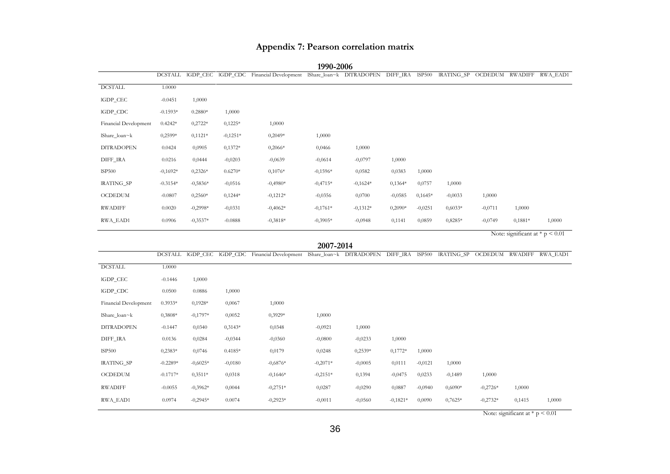## **Appendix 7: Pearson correlation matrix**

|                       |                |            |            |                                                                                   | 1770 2000  |            |            |               |                    |                                     |           |                                   |
|-----------------------|----------------|------------|------------|-----------------------------------------------------------------------------------|------------|------------|------------|---------------|--------------------|-------------------------------------|-----------|-----------------------------------|
|                       |                |            |            | DCSTALL IGDP_CEC IGDP_CDC Financial Development IShare_Ioan~k DITRADOPEN DIFF_IRA |            |            |            | <b>ISP500</b> |                    | IRATING_SP OCDEDUM RWADIFF RWA_EAD1 |           |                                   |
| <b>DCSTALL</b>        | 1.0000         |            |            |                                                                                   |            |            |            |               |                    |                                     |           |                                   |
| IGDP_CEC              | $-0.0451$      | 1,0000     |            |                                                                                   |            |            |            |               |                    |                                     |           |                                   |
| IGDP_CDC              | $-0.1593*$     | $0.2880*$  | 1,0000     |                                                                                   |            |            |            |               |                    |                                     |           |                                   |
| Financial Development | $0.4242*$      | $0,2722*$  | $0,1225*$  | 1,0000                                                                            |            |            |            |               |                    |                                     |           |                                   |
| lShare_loan~k         | $0,2599*$      | $0,1121*$  | $-0,1251*$ | $0,2049*$                                                                         | 1,0000     |            |            |               |                    |                                     |           |                                   |
| <b>DITRADOPEN</b>     | 0.0424         | 0,0905     | $0,1372*$  | $0,2066*$                                                                         | 0,0466     | 1,0000     |            |               |                    |                                     |           |                                   |
| DIFF_IRA              | 0.0216         | 0,0444     | $-0,0203$  | $-0,0639$                                                                         | $-0,0614$  | $-0,0797$  | 1,0000     |               |                    |                                     |           |                                   |
| ISP500                | $-0,1692*$     | $0,2326*$  | $0.6270*$  | $0,1076*$                                                                         | $-0,1596*$ | 0,0582     | 0,0383     | 1,0000        |                    |                                     |           |                                   |
| IRATING_SP            | $-0.3154*$     | $-0,5836*$ | $-0,0516$  | $-0,4980*$                                                                        | $-0,4715*$ | $-0,1624*$ | $0,1364*$  | 0,0757        | 1,0000             |                                     |           |                                   |
| <b>OCDEDUM</b>        | $-0.0807$      | $0,2560*$  | $0,1244*$  | $-0,1212*$                                                                        | $-0,0356$  | 0,0700     | $-0,0585$  | $0,1645*$     | $-0,0033$          | 1,0000                              |           |                                   |
| <b>RWADIFF</b>        | 0.0020         | $-0,2998*$ | $-0,0331$  | $-0,4062*$                                                                        | $-0,1761*$ | $-0,1312*$ | $0,2090*$  | $-0,0251$     | $0,6033*$          | $-0,0711$                           | 1,0000    |                                   |
| RWA_EAD1              | 0.0906         | $-0,3537*$ | $-0.0888$  | $-0,3818*$                                                                        | $-0,3905*$ | $-0,0948$  | 0,1141     | 0,0859        | $0,8285*$          | $-0,0749$                           | $0,1881*$ | 1,0000                            |
|                       |                |            |            |                                                                                   |            |            |            |               |                    |                                     |           | Note: significant at $*$ p < 0.01 |
|                       |                |            |            |                                                                                   | 2007-2014  |            |            |               |                    |                                     |           |                                   |
|                       | <b>DCSTALL</b> |            |            | IGDP_CEC IGDP_CDC Financial Development IShare_loan~k DITRADOPEN DIFF_IRA ISP500  |            |            |            |               | IRATING_SP OCDEDUM |                                     |           | RWADIFF RWA EAD1                  |
| <b>DCSTALL</b>        | 1.0000         |            |            |                                                                                   |            |            |            |               |                    |                                     |           |                                   |
| IGDP_CEC              | $-0.1446$      | 1,0000     |            |                                                                                   |            |            |            |               |                    |                                     |           |                                   |
| IGDP_CDC              | 0.0500         | 0.0886     | 1,0000     |                                                                                   |            |            |            |               |                    |                                     |           |                                   |
| Financial Development | $0.3933*$      | $0,1928*$  | 0,0067     | 1,0000                                                                            |            |            |            |               |                    |                                     |           |                                   |
| lShare_loan~k         | 0,3808*        | $-0,1797*$ | 0,0052     | 0,3929*                                                                           | 1,0000     |            |            |               |                    |                                     |           |                                   |
| <b>DITRADOPEN</b>     | $-0.1447$      | 0,0340     | $0.3143*$  | 0,0348                                                                            | $-0,0921$  | 1,0000     |            |               |                    |                                     |           |                                   |
| DIFF_IRA              | 0.0136         | 0,0284     | $-0,0344$  | $-0,0360$                                                                         | $-0,0800$  | $-0,0233$  | 1,0000     |               |                    |                                     |           |                                   |
| ISP500                | $0,2383*$      | 0,0746     | $0.4185*$  | 0,0179                                                                            | 0,0248     | $0,2539*$  | $0,1772*$  | 1,0000        |                    |                                     |           |                                   |
| IRATING_SP            | $-0.2289*$     | $-0,6025*$ | $-0,0180$  | $-0,6876*$                                                                        | $-0,2071*$ | $-0,0005$  | 0,0111     | $-0,0121$     | 1,0000             |                                     |           |                                   |
| <b>OCDEDUM</b>        | $-0.1717*$     | $0,3511*$  | 0,0318     | $-0,1646*$                                                                        | $-0,2151*$ | 0,1394     | $-0,0475$  | 0,0233        | $-0,1489$          | 1,0000                              |           |                                   |
| <b>RWADIFF</b>        | $-0.0055$      | $-0,3962*$ | 0,0044     | $-0,2751*$                                                                        | 0,0287     | $-0,0290$  | 0,0887     | $-0,0940$     | $0,6090*$          | $-0,2726*$                          | 1,0000    |                                   |
| RWA_EAD1              | 0.0974         | $-0,2945*$ | 0.0074     | $-0,2923*$                                                                        | $-0,0011$  | $-0,0560$  | $-0,1821*$ | 0,0090        | $0,7625*$          | $-0,2732*$                          | 0,1415    | 1,0000                            |
|                       |                |            |            |                                                                                   |            |            |            |               |                    |                                     |           |                                   |

**1990-2006**

Note: significant at  $* p < 0.01$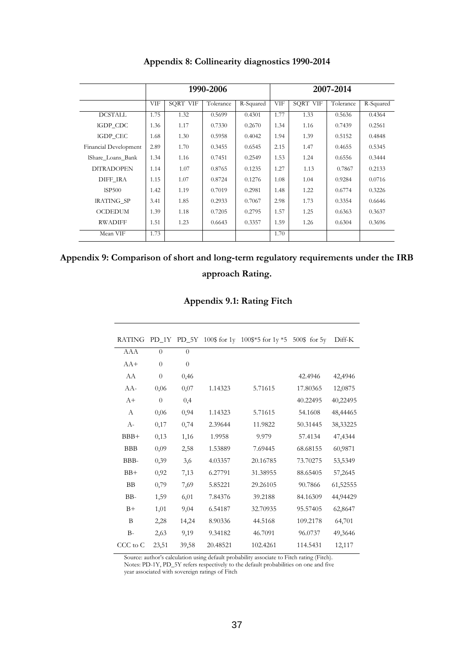|                       |      |                 | 1990-2006 |           |      |          | 2007-2014 |           |
|-----------------------|------|-----------------|-----------|-----------|------|----------|-----------|-----------|
|                       | VIF  | <b>SQRT VIF</b> | Tolerance | R-Squared | VIF  | SQRT VIF | Tolerance | R-Squared |
| <b>DCSTALL</b>        | 1.75 | 1.32            | 0.5699    | 0.4301    | 1.77 | 1.33     | 0.5636    | 0.4364    |
| IGDP_CDC              | 1.36 | 1.17            | 0.7330    | 0.2670    | 1.34 | 1.16     | 0.7439    | 0.2561    |
| IGDP CEC              | 1.68 | 1.30            | 0.5958    | 0.4042    | 1.94 | 1.39     | 0.5152    | 0.4848    |
| Financial Development | 2.89 | 1.70            | 0.3455    | 0.6545    | 2.15 | 1.47     | 0.4655    | 0.5345    |
| IShare Loans Bank     | 1.34 | 1.16            | 0.7451    | 0.2549    | 1.53 | 1.24     | 0.6556    | 0.3444    |
| <b>DITRADOPEN</b>     | 1.14 | 1.07            | 0.8765    | 0.1235    | 1.27 | 1.13     | 0.7867    | 0.2133    |
| DIFF IRA              | 1.15 | 1.07            | 0.8724    | 0.1276    | 1.08 | 1.04     | 0.9284    | 0.0716    |
| ISP500                | 1.42 | 1.19            | 0.7019    | 0.2981    | 1.48 | 1.22     | 0.6774    | 0.3226    |
| <b>IRATING SP</b>     | 3.41 | 1.85            | 0.2933    | 0.7067    | 2.98 | 1.73     | 0.3354    | 0.6646    |
| <b>OCDEDUM</b>        | 1.39 | 1.18            | 0.7205    | 0.2795    | 1.57 | 1.25     | 0.6363    | 0.3637    |
| <b>RWADIFF</b>        | 1.51 | 1.23            | 0.6643    | 0.3357    | 1.59 | 1.26     | 0.6304    | 0.3696    |
| Mean VIF              | 1.73 |                 |           |           | 1.70 |          |           |           |

**Appendix 8: Collinearity diagnostics 1990-2014**

| Appendix 9: Comparison of short and long-term regulatory requirements under the IRB |
|-------------------------------------------------------------------------------------|
| approach Rating.                                                                    |

**Appendix 9.1: Rating Fitch**

| <b>RATING</b> |                |                |          | PD_1Y PD_5Y 100\$ for 1y 100\$*5 for 1y *5 | $500\$ for $5y$ | Diff-K   |
|---------------|----------------|----------------|----------|--------------------------------------------|-----------------|----------|
| AAA           | $\Omega$       | $\theta$       |          |                                            |                 |          |
| $AA+$         | $\overline{0}$ | $\overline{0}$ |          |                                            |                 |          |
| AA            | $\overline{0}$ | 0,46           |          |                                            | 42.4946         | 42,4946  |
| $AA-$         | 0,06           | 0,07           | 1.14323  | 5.71615                                    | 17.80365        | 12,0875  |
| $A+$          | $\overline{0}$ | 0,4            |          |                                            | 40.22495        | 40,22495 |
| A             | 0,06           | 0,94           | 1.14323  | 5.71615                                    | 54.1608         | 48,44465 |
| $A-$          | 0,17           | 0,74           | 2.39644  | 11.9822                                    | 50.31445        | 38,33225 |
| $BBB+$        | 0,13           | 1,16           | 1.9958   | 9.979                                      | 57.4134         | 47,4344  |
| <b>BBB</b>    | 0,09           | 2,58           | 1.53889  | 7.69445                                    | 68.68155        | 60,9871  |
| BBB-          | 0,39           | 3,6            | 4.03357  | 20.16785                                   | 73.70275        | 53,5349  |
| $BB+$         | 0,92           | 7,13           | 6.27791  | 31.38955                                   | 88.65405        | 57,2645  |
| <b>BB</b>     | 0,79           | 7,69           | 5.85221  | 29.26105                                   | 90.7866         | 61,52555 |
| BB-           | 1,59           | 6,01           | 7.84376  | 39.2188                                    | 84.16309        | 44,94429 |
| $B+$          | 1,01           | 9,04           | 6.54187  | 32.70935                                   | 95.57405        | 62,8647  |
| B             | 2,28           | 14,24          | 8.90336  | 44.5168                                    | 109.2178        | 64,701   |
| $B-$          | 2,63           | 9,19           | 9.34182  | 46.7091                                    | 96.0737         | 49,3646  |
| CCC to C      | 23,51          | 39,58          | 20.48521 | 102.4261                                   | 114.5431        | 12,117   |

Source: author's calculation using default probability associate to Fitch rating (Fitch). Notes: PD-1Y, PD\_5Y refers respectively to the default probabilities on one and five year associated with sovereign ratings of Fitch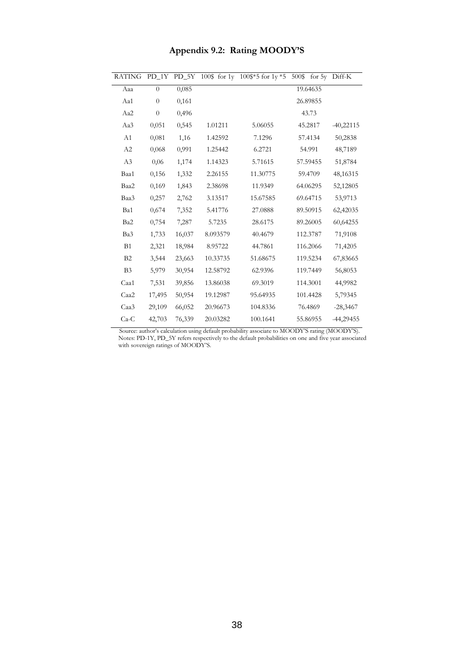| <b>RATING</b>  |                |        |          | PD_1Y PD_5Y 100\$ for 1y 100\$*5 for 1y *5 | 500\$    | for 5y Diff-K |
|----------------|----------------|--------|----------|--------------------------------------------|----------|---------------|
| Aaa            | $\Omega$       | 0,085  |          |                                            | 19.64635 |               |
| Aa1            | $\overline{0}$ | 0,161  |          |                                            | 26.89855 |               |
| Aa2            | $\overline{0}$ | 0,496  |          |                                            | 43.73    |               |
| Aa3            | 0,051          | 0,545  | 1.01211  | 5.06055                                    | 45.2817  | $-40,22115$   |
| A1             | 0,081          | 1,16   | 1.42592  | 7.1296                                     | 57.4134  | 50,2838       |
| A2             | 0,068          | 0,991  | 1.25442  | 6.2721                                     | 54.991   | 48,7189       |
| A3             | 0.06           | 1,174  | 1.14323  | 5.71615                                    | 57.59455 | 51,8784       |
| Baa1           | 0,156          | 1,332  | 2.26155  | 11.30775                                   | 59.4709  | 48,16315      |
| Baa2           | 0,169          | 1,843  | 2.38698  | 11.9349                                    | 64.06295 | 52,12805      |
| Baa3           | 0,257          | 2,762  | 3.13517  | 15.67585                                   | 69.64715 | 53,9713       |
| Ba1            | 0,674          | 7,352  | 5.41776  | 27.0888                                    | 89.50915 | 62,42035      |
| Ba2            | 0,754          | 7,287  | 5.7235   | 28.6175                                    | 89.26005 | 60,64255      |
| Ba3            | 1,733          | 16,037 | 8.093579 | 40.4679                                    | 112.3787 | 71,9108       |
| B1             | 2,321          | 18,984 | 8.95722  | 44.7861                                    | 116.2066 | 71,4205       |
| B2             | 3,544          | 23,663 | 10.33735 | 51.68675                                   | 119.5234 | 67,83665      |
| B <sub>3</sub> | 5,979          | 30,954 | 12.58792 | 62.9396                                    | 119.7449 | 56,8053       |
| Caa1           | 7,531          | 39,856 | 13.86038 | 69.3019                                    | 114.3001 | 44,9982       |
| Caa2           | 17,495         | 50,954 | 19.12987 | 95.64935                                   | 101.4428 | 5,79345       |
| Caa3           | 29,109         | 66,052 | 20.96673 | 104.8336                                   | 76.4869  | $-28,3467$    |
| $Ca-C$         | 42,703         | 76,339 | 20.03282 | 100.1641                                   | 55.86955 | -44,29455     |

## **Appendix 9.2: Rating MOODY'S**

 Source: author's calculation using default probability associate to MOODY'S rating (MOODY'S). Notes: PD-1Y, PD\_5Y refers respectively to the default probabilities on one and five year associated with sovereign ratings of MOODY'S.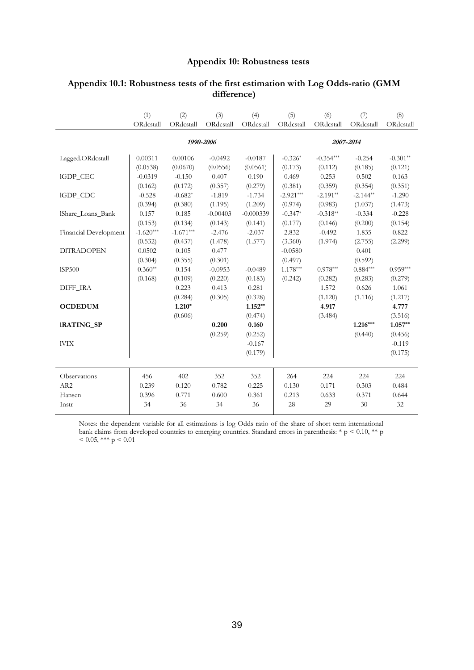## **Appendix 10: Robustness tests**

|                          | $\overline{(1)}$ | $\overline{(2)}$ | $\overline{3)}$ | (4)         | $\overline{(5)}$ | (6)         | (7)        | $\overline{(8)}$ |
|--------------------------|------------------|------------------|-----------------|-------------|------------------|-------------|------------|------------------|
|                          | ORdcstall        | ORdcstall        | ORdcstall       | ORdcstall   | ORdcstall        | ORdcstall   | ORdcstall  | ORdcstall        |
|                          |                  |                  | 1990-2006       |             |                  |             | 2007-2014  |                  |
|                          |                  |                  |                 |             |                  |             |            |                  |
| Lagged.ORdcstall         | 0.00311          | 0.00106          | $-0.0492$       | $-0.0187$   | $-0.326*$        | $-0.354***$ | $-0.254$   | $-0.301**$       |
|                          | (0.0538)         | (0.0670)         | (0.0556)        | (0.0561)    | (0.173)          | (0.112)     | (0.185)    | (0.121)          |
| IGDP_CEC                 | $-0.0319$        | $-0.150$         | 0.407           | 0.190       | 0.469            | 0.253       | 0.502      | 0.163            |
|                          | (0.162)          | (0.172)          | (0.357)         | (0.279)     | (0.381)          | (0.359)     | (0.354)    | (0.351)          |
| IGDP_CDC                 | $-0.528$         | $-0.682*$        | $-1.819$        | $-1.734$    | $-2.921***$      | $-2.191**$  | $-2.144**$ | $-1.290$         |
|                          | (0.394)          | (0.380)          | (1.195)         | (1.209)     | (0.974)          | (0.983)     | (1.037)    | (1.473)          |
| <b>IShare Loans Bank</b> | 0.157            | 0.185            | $-0.00403$      | $-0.000339$ | $-0.347*$        | $-0.318**$  | $-0.334$   | $-0.228$         |
|                          | (0.153)          | (0.134)          | (0.143)         | (0.141)     | (0.177)          | (0.146)     | (0.200)    | (0.154)          |
| Financial Development    | $-1.620***$      | $-1.671***$      | $-2.476$        | $-2.037$    | 2.832            | $-0.492$    | 1.835      | 0.822            |
|                          | (0.532)          | (0.437)          | (1.478)         | (1.577)     | (3.360)          | (1.974)     | (2.755)    | (2.299)          |
| <b>DITRADOPEN</b>        | 0.0502           | 0.105            | 0.477           |             | $-0.0580$        |             | 0.401      |                  |
|                          | (0.304)          | (0.355)          | (0.301)         |             | (0.497)          |             | (0.592)    |                  |
| <b>ISP500</b>            | $0.360**$        | 0.154            | $-0.0953$       | $-0.0489$   | $1.178***$       | $0.978***$  | $0.884***$ | $0.959***$       |
|                          | (0.168)          | (0.109)          | (0.220)         | (0.183)     | (0.242)          | (0.282)     | (0.283)    | (0.279)          |
| DIFF IRA                 |                  | 0.223            | 0.413           | 0.281       |                  | 1.572       | 0.626      | 1.061            |
|                          |                  | (0.284)          | (0.305)         | (0.328)     |                  | (1.120)     | (1.116)    | (1.217)          |
| <b>OCDEDUM</b>           |                  | $1.210*$         |                 | $1.152**$   |                  | 4.917       |            | 4.777            |
|                          |                  | (0.606)          |                 | (0.474)     |                  | (3.484)     |            | (3.516)          |
| <b>IRATING SP</b>        |                  |                  | 0.200           | 0.160       |                  |             | $1.216***$ | $1.057**$        |
|                          |                  |                  | (0.259)         | (0.252)     |                  |             | (0.440)    | (0.456)          |
| <b>IVIX</b>              |                  |                  |                 | $-0.167$    |                  |             |            | $-0.119$         |
|                          |                  |                  |                 | (0.179)     |                  |             |            | (0.175)          |
|                          |                  |                  |                 |             |                  |             |            |                  |
| Observations             | 456              | 402              | 352             | 352         | 264              | 224         | 224        | 224              |
| AR <sub>2</sub>          | 0.239            | 0.120            | 0.782           | 0.225       | 0.130            | 0.171       | 0.303      | 0.484            |
| Hansen                   | 0.396            | 0.771            | 0.600           | 0.361       | 0.213            | 0.633       | 0.371      | 0.644            |
| Instr                    | 34               | 36               | 34              | 36          | 28               | 29          | 30         | 32               |
|                          |                  |                  |                 |             |                  |             |            |                  |

## **Appendix 10.1: Robustness tests of the first estimation with Log Odds-ratio (GMM difference)**

Notes: the dependent variable for all estimations is log Odds ratio of the share of short term international bank claims from developed countries to emerging countries. Standard errors in parenthesis: \* p < 0.10, \*\* p  $< 0.05$ , \*\*\* p  $< 0.01$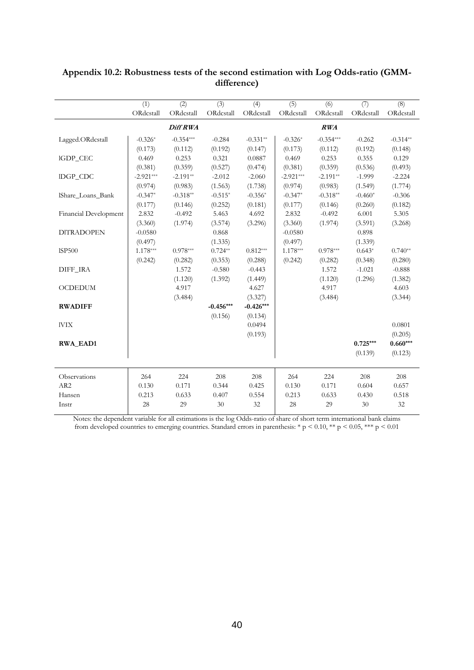|                       | $\overline{(1)}$ | $\overline{(2)}$ | (3)         | (4)         | (5)         | (6)         | (7)        | (8)        |
|-----------------------|------------------|------------------|-------------|-------------|-------------|-------------|------------|------------|
|                       | ORdcstall        | ORdcstall        | ORdcstall   | ORdcstall   | ORdcstall   | ORdcstall   | ORdcstall  | ORdcstall  |
|                       |                  | Diff RWA         |             |             |             | RWA         |            |            |
| Lagged.ORdcstall      | $-0.326*$        | $-0.354***$      | $-0.284$    | $-0.331**$  | $-0.326*$   | $-0.354***$ | $-0.262$   | $-0.314**$ |
|                       | (0.173)          | (0.112)          | (0.192)     | (0.147)     | (0.173)     | (0.112)     | (0.192)    | (0.148)    |
| IGDP_CEC              | 0.469            | 0.253            | 0.321       | 0.0887      | 0.469       | 0.253       | 0.355      | 0.129      |
|                       | (0.381)          | (0.359)          | (0.527)     | (0.474)     | (0.381)     | (0.359)     | (0.536)    | (0.493)    |
| IDGP_CDC              | $-2.921***$      | $-2.191**$       | $-2.012$    | $-2.060$    | $-2.921***$ | $-2.191**$  | $-1.999$   | $-2.224$   |
|                       | (0.974)          | (0.983)          | (1.563)     | (1.738)     | (0.974)     | (0.983)     | (1.549)    | (1.774)    |
| IShare Loans Bank     | $-0.347*$        | $-0.318**$       | $-0.515*$   | $-0.356*$   | $-0.347*$   | $-0.318**$  | $-0.460*$  | $-0.306$   |
|                       | (0.177)          | (0.146)          | (0.252)     | (0.181)     | (0.177)     | (0.146)     | (0.260)    | (0.182)    |
| Financial Development | 2.832            | $-0.492$         | 5.463       | 4.692       | 2.832       | $-0.492$    | 6.001      | 5.305      |
|                       | (3.360)          | (1.974)          | (3.574)     | (3.296)     | (3.360)     | (1.974)     | (3.591)    | (3.268)    |
| <b>DITRADOPEN</b>     | $-0.0580$        |                  | 0.868       |             | $-0.0580$   |             | 0.898      |            |
|                       | (0.497)          |                  | (1.335)     |             | (0.497)     |             | (1.339)    |            |
| <b>ISP500</b>         | $1.178***$       | $0.978***$       | $0.724**$   | $0.812***$  | $1.178***$  | $0.978***$  | $0.643*$   | $0.740**$  |
|                       | (0.242)          | (0.282)          | (0.353)     | (0.288)     | (0.242)     | (0.282)     | (0.348)    | (0.280)    |
| DIFF_IRA              |                  | 1.572            | $-0.580$    | $-0.443$    |             | 1.572       | $-1.021$   | $-0.888$   |
|                       |                  | (1.120)          | (1.392)     | (1.449)     |             | (1.120)     | (1.296)    | (1.382)    |
| <b>OCDEDUM</b>        |                  | 4.917            |             | 4.627       |             | 4.917       |            | 4.603      |
|                       |                  | (3.484)          |             | (3.327)     |             | (3.484)     |            | (3.344)    |
| <b>RWADIFF</b>        |                  |                  | $-0.456***$ | $-0.426***$ |             |             |            |            |
|                       |                  |                  | (0.156)     | (0.134)     |             |             |            |            |
| <b>IVIX</b>           |                  |                  |             | 0.0494      |             |             |            | 0.0801     |
|                       |                  |                  |             | (0.193)     |             |             |            | (0.205)    |
| <b>RWA EAD1</b>       |                  |                  |             |             |             |             | $0.725***$ | $0.660***$ |
|                       |                  |                  |             |             |             |             | (0.139)    | (0.123)    |
|                       |                  |                  |             |             |             |             |            |            |
| Observations          | 264              | 224              | 208         | 208         | 264         | 224         | 208        | 208        |
| AR <sub>2</sub>       | 0.130            | 0.171            | 0.344       | 0.425       | 0.130       | 0.171       | 0.604      | 0.657      |
| Hansen                | 0.213            | 0.633            | 0.407       | 0.554       | 0.213       | 0.633       | 0.430      | 0.518      |
| Instr                 | 28               | 29               | 30          | 32          | 28          | 29          | 30         | 32         |

### **Appendix 10.2: Robustness tests of the second estimation with Log Odds-ratio (GMMdifference)**

Notes: the dependent variable for all estimations is the log Odds-ratio of share of short term international bank claims from developed countries to emerging countries. Standard errors in parenthesis: \* p < 0.10, \*\* p < 0.05, \*\*\* p < 0.01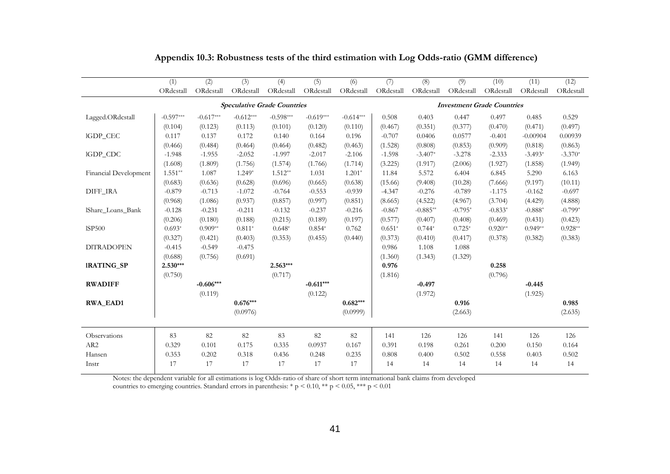|                       | (1)         | (2)         | (3)         | (4)                                | (5)         | (6)         | (7)       | (8)        | (9)                               | (10)      | (11)       | (12)      |
|-----------------------|-------------|-------------|-------------|------------------------------------|-------------|-------------|-----------|------------|-----------------------------------|-----------|------------|-----------|
|                       | ORdcstall   | ORdcstall   | ORdcstall   | ORdcstall                          | ORdcstall   | ORdcstall   | ORdcstall | ORdcstall  | ORdcstall                         | ORdcstall | ORdcstall  | ORdcstall |
|                       |             |             |             | <b>Speculative Grade Countries</b> |             |             |           |            | <b>Investment Grade Countries</b> |           |            |           |
| Lagged.ORdcstall      | $-0.597***$ | $-0.617***$ | $-0.612***$ | $-0.598***$                        | $-0.619***$ | $-0.614***$ | 0.508     | 0.403      | 0.447                             | 0.497     | 0.485      | 0.529     |
|                       | (0.104)     | (0.123)     | (0.113)     | (0.101)                            | (0.120)     | (0.110)     | (0.467)   | (0.351)    | (0.377)                           | (0.470)   | (0.471)    | (0.497)   |
| IGDP_CEC              | 0.117       | 0.137       | 0.172       | 0.140                              | 0.164       | 0.196       | $-0.707$  | 0.0406     | 0.0577                            | $-0.401$  | $-0.00904$ | 0.00939   |
|                       | (0.466)     | (0.484)     | (0.464)     | (0.464)                            | (0.482)     | (0.463)     | (1.528)   | (0.808)    | (0.853)                           | (0.909)   | (0.818)    | (0.863)   |
| IGDP_CDC              | $-1.948$    | $-1.955$    | $-2.052$    | $-1.997$                           | $-2.017$    | $-2.106$    | $-1.598$  | $-3.407*$  | $-3.278$                          | $-2.333$  | $-3.493*$  | $-3.370*$ |
|                       | (1.608)     | (1.809)     | (1.756)     | (1.574)                            | (1.766)     | (1.714)     | (3.225)   | (1.917)    | (2.006)                           | (1.927)   | (1.858)    | (1.949)   |
| Financial Development | $1.551**$   | 1.087       | $1.249*$    | $1.512**$                          | 1.031       | $1.201*$    | 11.84     | 5.572      | 6.404                             | 6.845     | 5.290      | 6.163     |
|                       | (0.683)     | (0.636)     | (0.628)     | (0.696)                            | (0.665)     | (0.638)     | (15.66)   | (9.408)    | (10.28)                           | (7.666)   | (9.197)    | (10.11)   |
| DIFF_IRA              | $-0.879$    | $-0.713$    | $-1.072$    | $-0.764$                           | $-0.553$    | $-0.939$    | $-4.347$  | $-0.276$   | $-0.789$                          | $-1.175$  | $-0.162$   | $-0.697$  |
|                       | (0.968)     | (1.086)     | (0.937)     | (0.857)                            | (0.997)     | (0.851)     | (8.665)   | (4.522)    | (4.967)                           | (3.704)   | (4.429)    | (4.888)   |
| IShare Loans Bank     | $-0.128$    | $-0.231$    | $-0.211$    | $-0.132$                           | $-0.237$    | $-0.216$    | $-0.867$  | $-0.885**$ | $-0.795*$                         | $-0.833*$ | $-0.888*$  | $-0.799*$ |
|                       | (0.206)     | (0.180)     | (0.188)     | (0.215)                            | (0.189)     | (0.197)     | (0.577)   | (0.407)    | (0.408)                           | (0.469)   | (0.431)    | (0.423)   |
| <b>ISP500</b>         | $0.693*$    | $0.909**$   | $0.811*$    | $0.648*$                           | $0.854*$    | 0.762       | $0.651*$  | $0.744*$   | $0.725*$                          | $0.920**$ | $0.949**$  | $0.928**$ |
|                       | (0.327)     | (0.421)     | (0.403)     | (0.353)                            | (0.455)     | (0.440)     | (0.373)   | (0.410)    | (0.417)                           | (0.378)   | (0.382)    | (0.383)   |
| <b>DITRADOPEN</b>     | $-0.415$    | $-0.549$    | $-0.475$    |                                    |             |             | 0.986     | 1.108      | 1.088                             |           |            |           |
|                       | (0.688)     | (0.756)     | (0.691)     |                                    |             |             | (1.360)   | (1.343)    | (1.329)                           |           |            |           |
| <b>IRATING_SP</b>     | $2.530***$  |             |             | $2.563***$                         |             |             | 0.976     |            |                                   | 0.258     |            |           |
|                       | (0.750)     |             |             | (0.717)                            |             |             | (1.816)   |            |                                   | (0.796)   |            |           |
| <b>RWADIFF</b>        |             | $-0.606***$ |             |                                    | $-0.611***$ |             |           | $-0.497$   |                                   |           | $-0.445$   |           |
|                       |             | (0.119)     |             |                                    | (0.122)     |             |           | (1.972)    |                                   |           | (1.925)    |           |
| <b>RWA EAD1</b>       |             |             | $0.676***$  |                                    |             | $0.682***$  |           |            | 0.916                             |           |            | 0.985     |
|                       |             |             | (0.0976)    |                                    |             | (0.0999)    |           |            | (2.663)                           |           |            | (2.635)   |
| Observations          | 83          | 82          | 82          | 83                                 | 82          | 82          | 141       | 126        | 126                               | 141       | 126        | 126       |
| AR <sub>2</sub>       | 0.329       | 0.101       | 0.175       | 0.335                              | 0.0937      | 0.167       | 0.391     | 0.198      | 0.261                             | 0.200     | 0.150      | 0.164     |
| Hansen                | 0.353       | 0.202       | 0.318       | 0.436                              | 0.248       | 0.235       | 0.808     | 0.400      | 0.502                             | 0.558     | 0.403      | 0.502     |
| Instr                 | 17          | 17          | 17          | 17                                 | 17          | 17          | 14        | 14         | 14                                | 14        | 14         | 14        |
|                       |             |             |             |                                    |             |             |           |            |                                   |           |            |           |

## **Appendix 10.3: Robustness tests of the third estimation with Log Odds-ratio (GMM difference)**

Notes: the dependent variable for all estimations is log Odds-ratio of share of short term international bank claims from developed

countries to emerging countries. Standard errors in parenthesis: \* p < 0.10, \*\* p < 0.05, \*\*\* p < 0.01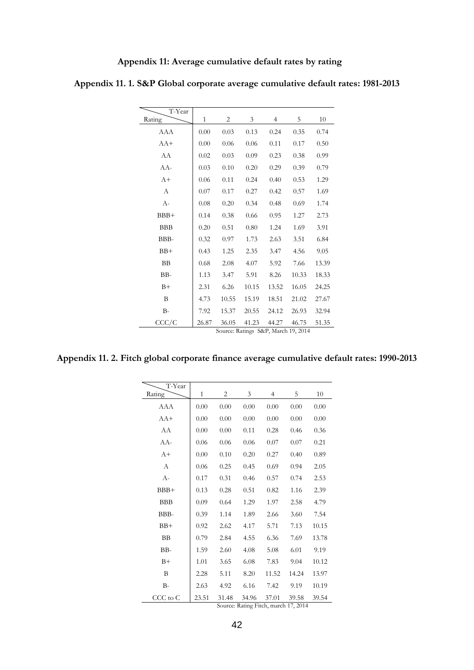| Appendix 11: Average cumulative default rates by rating |  |
|---------------------------------------------------------|--|
|                                                         |  |

| T-Year     |              |                                              |       |       |       |       |
|------------|--------------|----------------------------------------------|-------|-------|-------|-------|
| Rating     | $\mathbf{1}$ | 2                                            | 3     | 4     | 5     | 10    |
| AAA        | 0.00         | 0.03                                         | 0.13  | 0.24  | 0.35  | 0.74  |
| $AA+$      | 0.00         | 0.06                                         | 0.06  | 0.11  | 0.17  | 0.50  |
| AA         | 0.02         | 0.03                                         | 0.09  | 0.23  | 0.38  | 0.99  |
| AA-        | 0.03         | 0.10                                         | 0.20  | 0.29  | 0.39  | 0.79  |
| $A+$       | 0.06         | 0.11                                         | 0.24  | 0.40  | 0.53  | 1.29  |
| А          | 0.07         | 0.17                                         | 0.27  | 0.42  | 0.57  | 1.69  |
| $A-$       | 0.08         | 0.20                                         | 0.34  | 0.48  | 0.69  | 1.74  |
| BBB+       | 0.14         | 0.38                                         | 0.66  | 0.95  | 1.27  | 2.73  |
| <b>BBB</b> | 0.20         | 0.51                                         | 0.80  | 1.24  | 1.69  | 3.91  |
| BBB-       | 0.32         | 0.97                                         | 1.73  | 2.63  | 3.51  | 6.84  |
| $BB+$      | 0.43         | 1.25                                         | 2.35  | 3.47  | 4.56  | 9.05  |
| BB         | 0.68         | 2.08                                         | 4.07  | 5.92  | 7.66  | 13.39 |
| BB-        | 1.13         | 3.47                                         | 5.91  | 8.26  | 10.33 | 18.33 |
| $B+$       | 2.31         | 6.26                                         | 10.15 | 13.52 | 16.05 | 24.25 |
| B          | 4.73         | 10.55                                        | 15.19 | 18.51 | 21.02 | 27.67 |
| $B-$       | 7.92         | 15.37                                        | 20.55 | 24.12 | 26.93 | 32.94 |
| CCC/C      | 26.87        | 36.05<br>Source: Ratings S&P, March 19, 2014 | 41.23 | 44.27 | 46.75 | 51.35 |

**Appendix 11. 1. S&P Global corporate average cumulative default rates: 1981-2013** 

**Appendix 11. 2. Fitch global corporate finance average cumulative default rates: 1990-2013**

| T-Year     |              |       |       |       |       |       |
|------------|--------------|-------|-------|-------|-------|-------|
| Rating     | $\mathbf{1}$ | 2     | 3     | 4     | 5     | 10    |
| AAA        | 0.00         | 0.00  | 0.00  | 0.00  | 0.00  | 0.00  |
| $AA+$      | 0.00         | 0.00  | 0.00  | 0.00  | 0.00  | 0.00  |
| AA         | 0.00         | 0.00  | 0.11  | 0.28  | 0.46  | 0.36  |
| AA-        | 0.06         | 0.06  | 0.06  | 0.07  | 0.07  | 0.21  |
| $A+$       | 0.00         | 0.10  | 0.20  | 0.27  | 0.40  | 0.89  |
| A          | 0.06         | 0.25  | 0.45  | 0.69  | 0.94  | 2.05  |
| $A-$       | 0.17         | 0.31  | 0.46  | 0.57  | 0.74  | 2.53  |
| $BBB+$     | 0.13         | 0.28  | 0.51  | 0.82  | 1.16  | 2.39  |
| <b>BBB</b> | 0.09         | 0.64  | 1.29  | 1.97  | 2.58  | 4.79  |
| BBB-       | 0.39         | 1.14  | 1.89  | 2.66  | 3.60  | 7.54  |
| $BB+$      | 0.92         | 2.62  | 4.17  | 5.71  | 7.13  | 10.15 |
| <b>BB</b>  | 0.79         | 2.84  | 4.55  | 6.36  | 7.69  | 13.78 |
| BB-        | 1.59         | 2.60  | 4.08  | 5.08  | 6.01  | 9.19  |
| $B+$       | 1.01         | 3.65  | 6.08  | 7.83  | 9.04  | 10.12 |
| B          | 2.28         | 5.11  | 8.20  | 11.52 | 14.24 | 13.97 |
| $B-$       | 2.63         | 4.92  | 6.16  | 7.42  | 9.19  | 10.19 |
| CCC to C   | 23.51        | 31.48 | 34.96 | 37.01 | 39.58 | 39.54 |